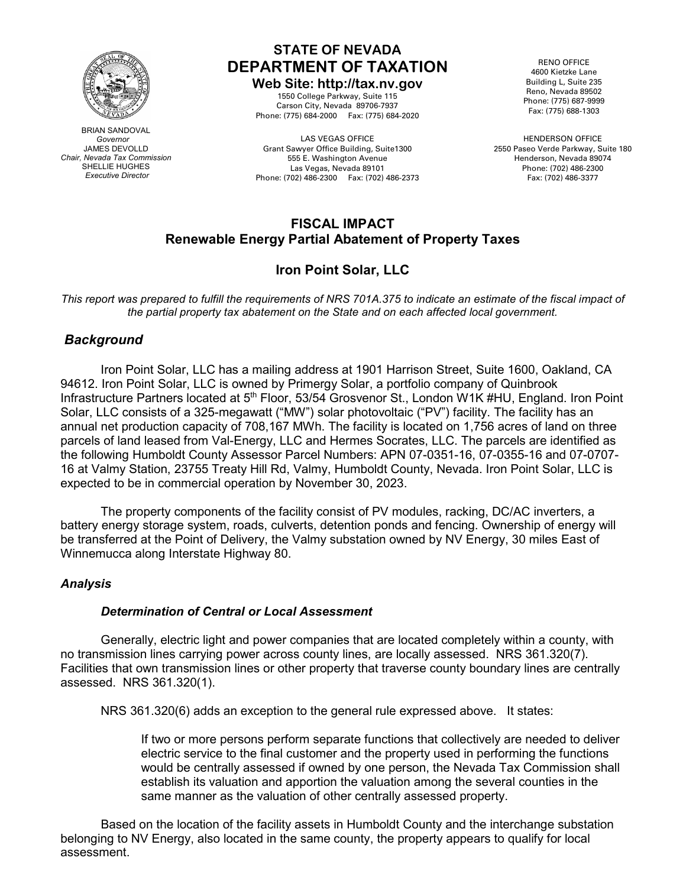

BRIAN SANDOVAL  *Governor* JAMES DEVOLLD *Chair, Nevada Tax Commission* SHELLIE HUGHES *Executive Director*

### **STATE OF NEVADA DEPARTMENT OF TAXATION**

### **Web Site: http://tax.nv.gov**

1550 College Parkway, Suite 115 Carson City, Nevada 89706-7937 Phone: (775) 684-2000 Fax: (775) 684-2020

LAS VEGAS OFFICE Grant Sawyer Office Building, Suite1300 555 E. Washington Avenue Las Vegas, Nevada 89101 Phone: (702) 486-2300 Fax: (702) 486-2373

RENO OFFICE 4600 Kietzke Lane Building L, Suite 235 Reno, Nevada 89502 Phone: (775) 687-9999 Fax: (775) 688-1303

HENDERSON OFFICE 2550 Paseo Verde Parkway, Suite 180 Henderson, Nevada 89074 Phone: (702) 486-2300 Fax: (702) 486-3377

### **FISCAL IMPACT Renewable Energy Partial Abatement of Property Taxes**

### **Iron Point Solar, LLC**

This report was prepared to fulfill the requirements of NRS 701A.375 to indicate an estimate of the fiscal impact of *the partial property tax abatement on the State and on each affected local government.*

### *Background*

Iron Point Solar, LLC has a mailing address at 1901 Harrison Street, Suite 1600, Oakland, CA 94612. Iron Point Solar, LLC is owned by Primergy Solar, a portfolio company of Quinbrook Infrastructure Partners located at 5<sup>th</sup> Floor, 53/54 Grosvenor St., London W1K #HU, England. Iron Point Solar, LLC consists of a 325-megawatt ("MW") solar photovoltaic ("PV") facility. The facility has an annual net production capacity of 708,167 MWh. The facility is located on 1,756 acres of land on three parcels of land leased from Val-Energy, LLC and Hermes Socrates, LLC. The parcels are identified as the following Humboldt County Assessor Parcel Numbers: APN 07-0351-16, 07-0355-16 and 07-0707- 16 at Valmy Station, 23755 Treaty Hill Rd, Valmy, Humboldt County, Nevada. Iron Point Solar, LLC is expected to be in commercial operation by November 30, 2023.

The property components of the facility consist of PV modules, racking, DC/AC inverters, a battery energy storage system, roads, culverts, detention ponds and fencing. Ownership of energy will be transferred at the Point of Delivery, the Valmy substation owned by NV Energy, 30 miles East of Winnemucca along Interstate Highway 80.

### *Analysis*

### *Determination of Central or Local Assessment*

Generally, electric light and power companies that are located completely within a county, with no transmission lines carrying power across county lines, are locally assessed. NRS 361.320(7). Facilities that own transmission lines or other property that traverse county boundary lines are centrally assessed. NRS 361.320(1).

NRS 361.320(6) adds an exception to the general rule expressed above. It states:

If two or more persons perform separate functions that collectively are needed to deliver electric service to the final customer and the property used in performing the functions would be centrally assessed if owned by one person, the Nevada Tax Commission shall establish its valuation and apportion the valuation among the several counties in the same manner as the valuation of other centrally assessed property.

Based on the location of the facility assets in Humboldt County and the interchange substation belonging to NV Energy, also located in the same county, the property appears to qualify for local assessment.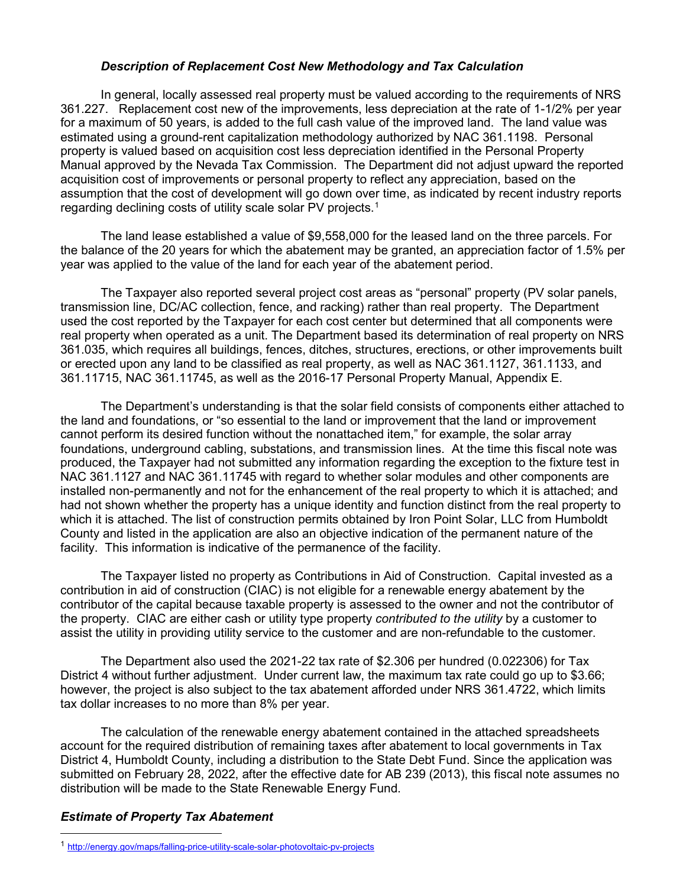### *Description of Replacement Cost New Methodology and Tax Calculation*

In general, locally assessed real property must be valued according to the requirements of NRS 361.227. Replacement cost new of the improvements, less depreciation at the rate of 1-1/2% per year for a maximum of 50 years, is added to the full cash value of the improved land. The land value was estimated using a ground-rent capitalization methodology authorized by NAC 361.1198. Personal property is valued based on acquisition cost less depreciation identified in the Personal Property Manual approved by the Nevada Tax Commission. The Department did not adjust upward the reported acquisition cost of improvements or personal property to reflect any appreciation, based on the assumption that the cost of development will go down over time, as indicated by recent industry reports regarding declining costs of utility scale solar PV projects. [1](#page-1-0)

The land lease established a value of \$9,558,000 for the leased land on the three parcels. For the balance of the 20 years for which the abatement may be granted, an appreciation factor of 1.5% per year was applied to the value of the land for each year of the abatement period.

The Taxpayer also reported several project cost areas as "personal" property (PV solar panels, transmission line, DC/AC collection, fence, and racking) rather than real property. The Department used the cost reported by the Taxpayer for each cost center but determined that all components were real property when operated as a unit. The Department based its determination of real property on NRS 361.035, which requires all buildings, fences, ditches, structures, erections, or other improvements built or erected upon any land to be classified as real property, as well as NAC 361.1127, 361.1133, and 361.11715, NAC 361.11745, as well as the 2016-17 Personal Property Manual, Appendix E.

The Department's understanding is that the solar field consists of components either attached to the land and foundations, or "so essential to the land or improvement that the land or improvement cannot perform its desired function without the nonattached item," for example, the solar array foundations, underground cabling, substations, and transmission lines. At the time this fiscal note was produced, the Taxpayer had not submitted any information regarding the exception to the fixture test in NAC 361.1127 and NAC 361.11745 with regard to whether solar modules and other components are installed non-permanently and not for the enhancement of the real property to which it is attached; and had not shown whether the property has a unique identity and function distinct from the real property to which it is attached. The list of construction permits obtained by Iron Point Solar, LLC from Humboldt County and listed in the application are also an objective indication of the permanent nature of the facility. This information is indicative of the permanence of the facility.

The Taxpayer listed no property as Contributions in Aid of Construction. Capital invested as a contribution in aid of construction (CIAC) is not eligible for a renewable energy abatement by the contributor of the capital because taxable property is assessed to the owner and not the contributor of the property. CIAC are either cash or utility type property *contributed to the utility* by a customer to assist the utility in providing utility service to the customer and are non-refundable to the customer.

The Department also used the 2021-22 tax rate of \$2.306 per hundred (0.022306) for Tax District 4 without further adjustment. Under current law, the maximum tax rate could go up to \$3.66; however, the project is also subject to the tax abatement afforded under NRS 361.4722, which limits tax dollar increases to no more than 8% per year.

The calculation of the renewable energy abatement contained in the attached spreadsheets account for the required distribution of remaining taxes after abatement to local governments in Tax District 4, Humboldt County, including a distribution to the State Debt Fund. Since the application was submitted on February 28, 2022, after the effective date for AB 239 (2013), this fiscal note assumes no distribution will be made to the State Renewable Energy Fund.

### *Estimate of Property Tax Abatement*

<span id="page-1-0"></span> <sup>1</sup> <http://energy.gov/maps/falling-price-utility-scale-solar-photovoltaic-pv-projects>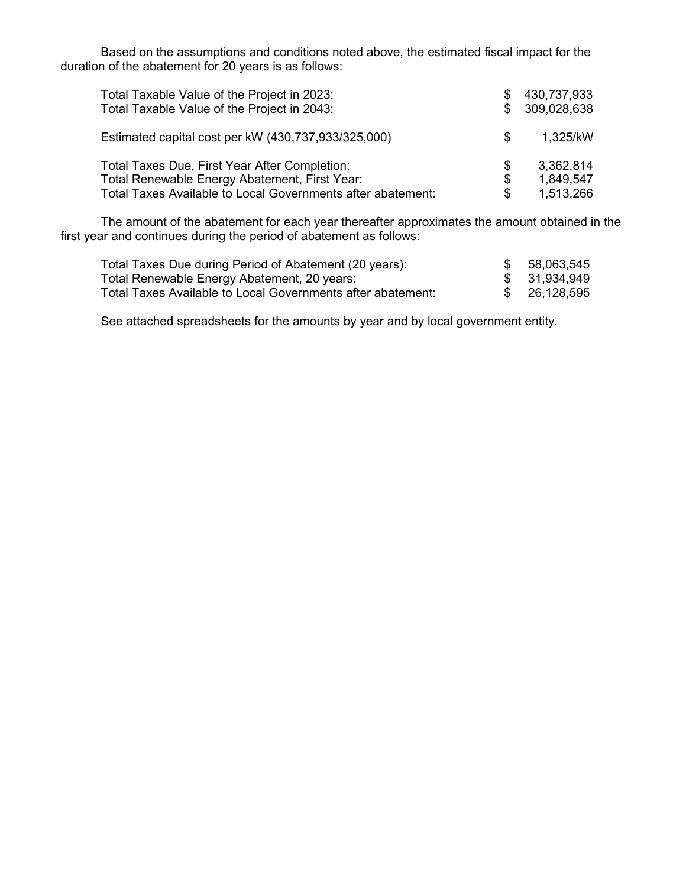Based on the assumptions and conditions noted above, the estimated fiscal impact for the duration of the abatement for 20 years is as follows:

| Total Taxable Value of the Project in 2023:<br>Total Taxable Value of the Project in 2043:                                                                    |                | 430,737,933<br>309,028,638          |
|---------------------------------------------------------------------------------------------------------------------------------------------------------------|----------------|-------------------------------------|
| Estimated capital cost per kW (430,737,933/325,000)                                                                                                           | \$.            | 1,325/kW                            |
| Total Taxes Due, First Year After Completion:<br>Total Renewable Energy Abatement, First Year:<br>Total Taxes Available to Local Governments after abatement: | S<br>\$<br>\$. | 3,362,814<br>1,849,547<br>1,513,266 |

The amount of the abatement for each year thereafter approximates the amount obtained in the first year and continues during the period of abatement as follows:

| Total Taxes Due during Period of Abatement (20 years):      | \$ 58,063,545 |
|-------------------------------------------------------------|---------------|
| Total Renewable Energy Abatement, 20 years:                 | \$ 31,934,949 |
| Total Taxes Available to Local Governments after abatement: | \$ 26,128,595 |

See attached spreadsheets for the amounts by year and by local government entity.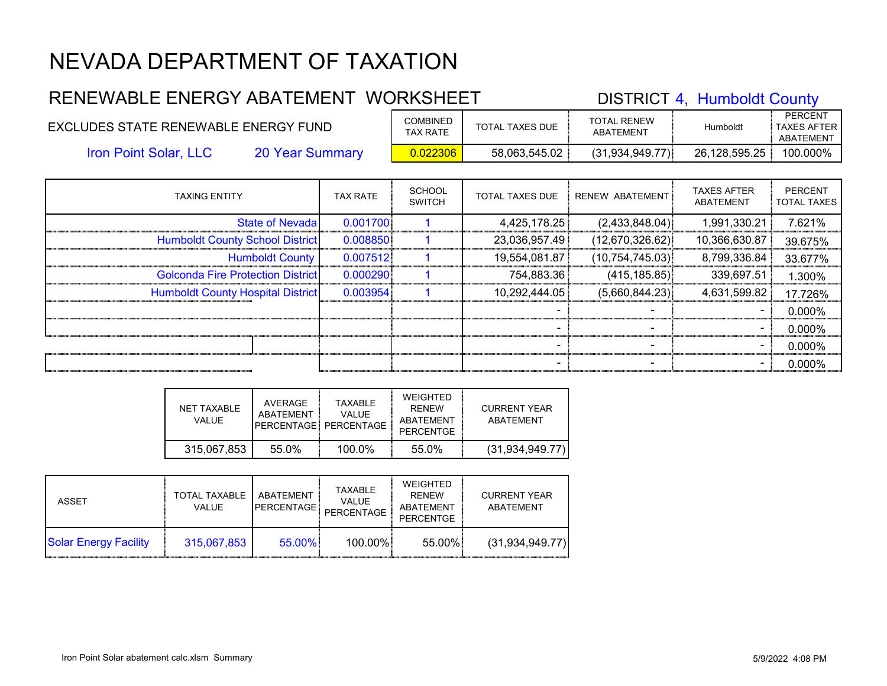### RENEWABLE ENERGY ABATEMENT WORKSHEET DISTRICT 4, Humboldt County PERCENT EXCLUDES STATE RENEWABLE ENERGY FUND COMBINED TOTAL TAXES DUE TOTAL RENEW TOTAL RENEW FOR Humboldt TAXES AFTER ABATEMENT Iron Point Solar, LLC 20 Year Summary 0.022306 58,063,545.02 (31,934,949.77) 26,128,595.25 100.000% TAXING ENTITY TAX RATE SCHOOL PERCENT ÷ SCHOOL | TOTAL TAXES DUE | RENEW ABATEMENT | TAXES AFTER<br>SWITCH | TOTAL TAXES DUE | RENEW ABATEMENT | ABATEMENT

| TAAING ENTITY                            | IA A RAIE | <b>SWITCH</b> | IUIAL IAAES DUE | KENEW ABAILMENI   | ABATEMENT     | <b>TOTAL TAXES</b> |
|------------------------------------------|-----------|---------------|-----------------|-------------------|---------------|--------------------|
| <b>State of Nevada</b>                   | 0.001700  |               | 4,425,178.25    | (2,433,848.04)    | 1,991,330.21  | 7.621%             |
| <b>Humboldt County School District</b>   | 0.008850  |               | 23,036,957.49   | (12,670,326.62)   | 10,366,630.87 | 39.675%            |
| <b>Humboldt County</b>                   | 0.007512  |               | 19,554,081.87   | (10, 754, 745.03) | 8,799,336.84  | 33.677%            |
| <b>Golconda Fire Protection District</b> | 0.000290  |               | 754,883.36      | (415, 185.85)     | 339,697.51    | 1.300%             |
| <b>Humboldt County Hospital District</b> | 0.003954  |               | 10,292,444.05   | (5,660,844.23)    | 4,631,599.82  | 17.726%            |
|                                          |           |               |                 |                   |               | $0.000\%$          |
|                                          |           |               |                 |                   |               | $0.000\%$          |
|                                          |           |               |                 |                   |               | $0.000\%$          |
|                                          |           |               |                 |                   |               | 0.000%             |

| NET TAXABLE<br>VALUE. | AVERAGE<br>ABATFMFNT | <b>TAXABIF</b><br>VALUE.<br>PFRCFNTAGF PFRCFNTAGF | WEIGHTED<br><b>RFNFW</b><br>ABATEMENT<br>PERCENTGE | CURRENT YEAR<br>ABATEMENT |
|-----------------------|----------------------|---------------------------------------------------|----------------------------------------------------|---------------------------|
| 315,067,853           | 55.0%                | 100.0%                                            | 55.0%                                              | (31.934.949.77)           |

| ASSET                        | TOTAL TAXABLE<br><b>VALUE</b> | <b>ABATEMENT</b><br><b>IPERCENTAGE</b> | TAXABLE<br><b>VALUE</b><br>PERCENTAGE | WEIGHTED<br><b>RFNFW</b><br><b>ABATEMENT</b><br><b>PERCENTGE</b> | <b>CURRENT YEAR</b><br>ABATEMENT |
|------------------------------|-------------------------------|----------------------------------------|---------------------------------------|------------------------------------------------------------------|----------------------------------|
| <b>Solar Energy Facility</b> | 315,067,853                   | 55.00%                                 | 100.00%                               | 55.00%                                                           | (31, 934, 949.77)                |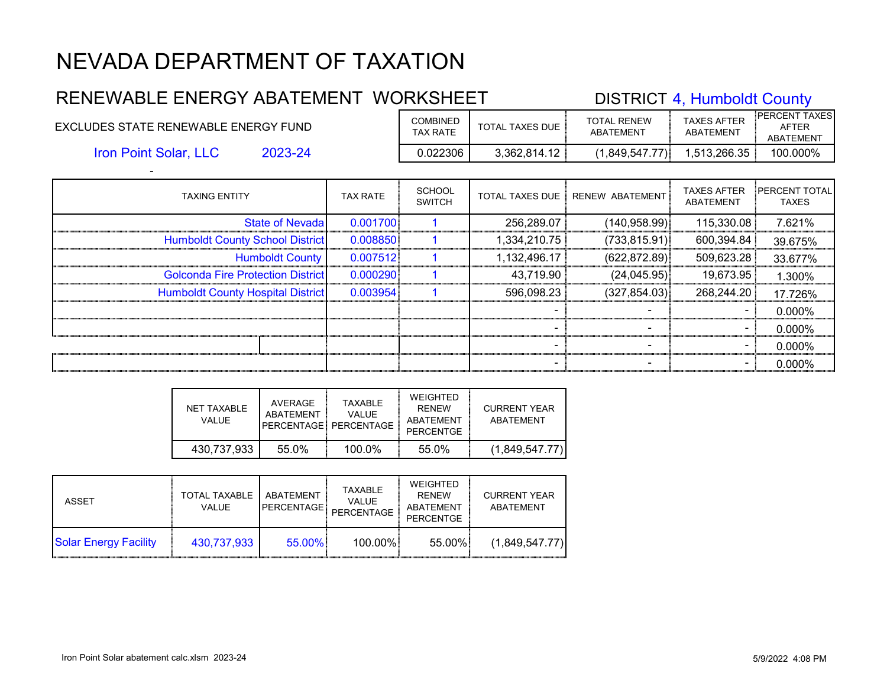#### RENEWABLE ENERGY ABATEMENT WORKSHEET DISTRICT 4, Humboldt County EXCLUDES STATE RENEWABLE ENERGY FUND COMBINED TOTAL TAXES DUE TOTAL RENEW ABATEMENT TAXES AFTER ABATEMENT PERCENT TAXES AFTER ABATEMENT

Iron Point Solar, LLC

-

2023-24 0.022306 3,362,814.12 (1,849,547.77) 1,513,266.35 100.000%

| <b>TAXING ENTITY</b>                     | <b>TAX RATE</b> | <b>SCHOOL</b><br><b>SWITCH</b> | <b>TOTAL TAXES DUE</b> | <b>RENEW ABATEMENT</b> | <b>TAXES AFTER</b><br>ABATEMENT | <b>IPERCENT TOTAL</b><br><b>TAXES</b> |
|------------------------------------------|-----------------|--------------------------------|------------------------|------------------------|---------------------------------|---------------------------------------|
| <b>State of Nevadal</b>                  | 0.001700        |                                | 256,289.07             | (140, 958.99)          | 115,330.08                      | 7.621%                                |
| <b>Humboldt County School District</b>   | 0.008850        |                                | 1,334,210.75           | (733, 815.91)          | 600,394.84                      | 39.675%                               |
| <b>Humboldt County</b>                   | 0.007512        |                                | 1,132,496.17           | (622, 872.89)          | 509,623.28                      | 33.677%                               |
| <b>Golconda Fire Protection District</b> | 0.000290        |                                | 43,719.90              | (24, 045.95)           | 19,673.95                       | 1.300%                                |
| <b>Humboldt County Hospital District</b> | 0.003954        |                                | 596,098.23             | (327, 854.03)          | 268,244.20                      | 17.726%                               |
|                                          |                 |                                |                        |                        |                                 | 0.000%                                |
|                                          |                 |                                |                        |                        |                                 | 0.000%                                |
|                                          |                 |                                | $\blacksquare$         |                        | $\blacksquare$                  | 0.000%                                |
|                                          |                 |                                |                        |                        |                                 | 0.000%                                |

| NET TAXABLE<br>VALUE. | AVERAGE<br>ABATFMFNT | <b>TAXABLE</b><br><b>VALUE</b><br>PFRCENTAGE: PERCENTAGE | WEIGHTED<br><b>RFNFW</b><br>ABATEMENT<br>PERCENTGE | <b>CURRENT YEAR</b><br>ABATEMENT |
|-----------------------|----------------------|----------------------------------------------------------|----------------------------------------------------|----------------------------------|
| 430.737.933           | 55.0%                | $100.0\%$                                                | 55.0%                                              | (1,849,547.77)                   |

| <b>ASSET</b>                 | TOTAL TAXABLE<br><b>VALUE</b> | ABATEMENT<br>PERCENTAGE! | TAXABLE<br><b>VALUE</b><br>PERCENTAGE | WEIGHTED<br><b>RENEW</b><br><b>ABATEMENT</b><br><b>PERCENTGE</b> | <b>CURRENT YEAR</b><br>ABATEMENT |
|------------------------------|-------------------------------|--------------------------|---------------------------------------|------------------------------------------------------------------|----------------------------------|
| <b>Solar Energy Facility</b> | 430.737.933                   | $55.00\%$                | 100.00%                               | 55.00%                                                           | (1,849,547.77)                   |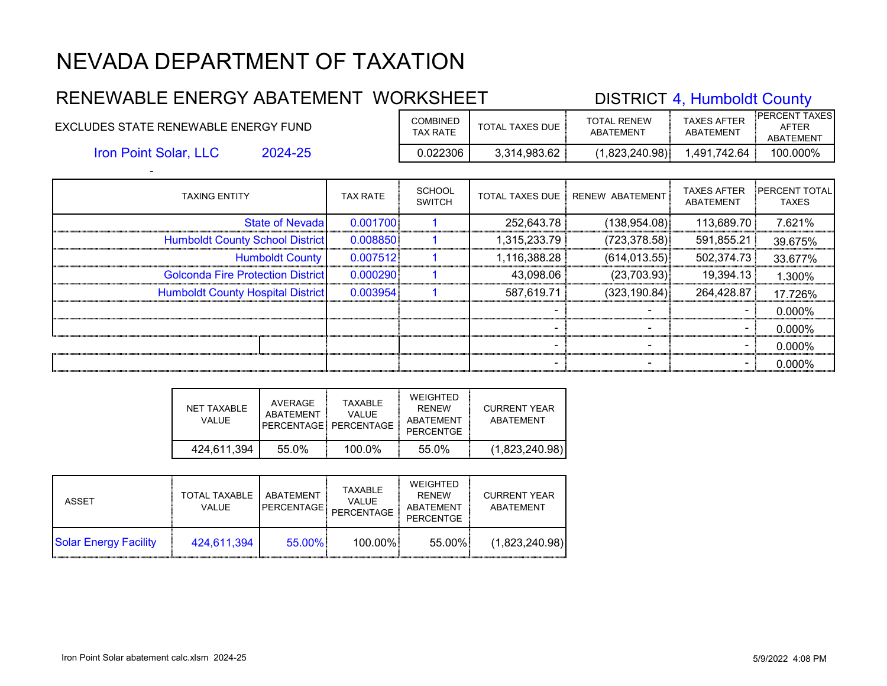#### RENEWABLE ENERGY ABATEMENT WORKSHEET DISTRICT 4, Humboldt County EXCLUDES STATE RENEWABLE ENERGY FUND COMBINED TOTAL TAXES DUE TOTAL RENEW ABATEMENT TAXES AFTER ABATEMENT PERCENT TAXES AFTER

2024-25 0.022306 3,314,983.62 (1,823,240.98) 1,491,742.64 100.000% Iron Point Solar, LLC

| <b>TAXING ENTITY</b>                     | <b>TAX RATE</b> | <b>SCHOOL</b><br><b>SWITCH</b> |              | TOTAL TAXES DUE   RENEW ABATEMENT | <b>TAXES AFTER</b><br>ABATEMENT | <b>PERCENT TOTAL</b><br><b>TAXES</b> |
|------------------------------------------|-----------------|--------------------------------|--------------|-----------------------------------|---------------------------------|--------------------------------------|
| State of Nevada                          | 0.001700        |                                | 252,643.78   | (138, 954.08)                     | 113,689.70                      | 7.621%                               |
| <b>Humboldt County School District</b>   | 0.008850        |                                | 1,315,233.79 | (723, 378.58)                     | 591,855.21                      | 39.675%                              |
| <b>Humboldt County</b>                   | 0.007512        |                                | 1,116,388.28 | (614, 013.55)                     | 502,374.73                      | 33.677%                              |
| <b>Golconda Fire Protection District</b> | 0.000290        |                                | 43,098.06    | (23,703.93)                       | 19,394.13                       | 1.300%                               |
| <b>Humboldt County Hospital District</b> | 0.003954        |                                | 587,619.71   | (323, 190.84)                     | 264,428.87                      | 17.726%                              |
|                                          |                 |                                |              |                                   |                                 | 0.000%                               |
|                                          |                 |                                |              |                                   |                                 | 0.000%                               |
|                                          |                 |                                |              |                                   |                                 | 0.000%                               |
|                                          |                 |                                |              |                                   |                                 | <u>.0 000%</u>                       |

| NET TAXABLE<br>VALUE. | AVERAGE<br>ABATEMENT | <b>TAXABLE</b><br><b>VALUE</b><br>PFRCENTAGE: PERCENTAGE | WEIGHTED<br><b>RFNFW</b><br>ABATEMENT<br>PERCENTGE | <b>CURRENT YEAR</b><br>ABATEMENT |
|-----------------------|----------------------|----------------------------------------------------------|----------------------------------------------------|----------------------------------|
| 424.611.394           | 55.0%                | $100.0\%$                                                | 55.0%                                              | (1,823,240.98)                   |

| ASSET                        | <b>TOTAL TAXABLE</b><br><b>VALUE</b> | ABATEMENT<br><b>PERCENTAGE</b> | TAXABLE<br><b>VALUE</b><br>PERCENTAGE | WEIGHTED<br><b>RFNFW</b><br>ABATEMENT<br><b>PERCENTGE</b> | <b>CURRENT YEAR</b><br>ABATEMENT |
|------------------------------|--------------------------------------|--------------------------------|---------------------------------------|-----------------------------------------------------------|----------------------------------|
| <b>Solar Energy Facility</b> | 424.611.394                          | $55.00\%$                      | 100.00%                               | 55.00%                                                    | (1,823,240.98)                   |

ABATEMENT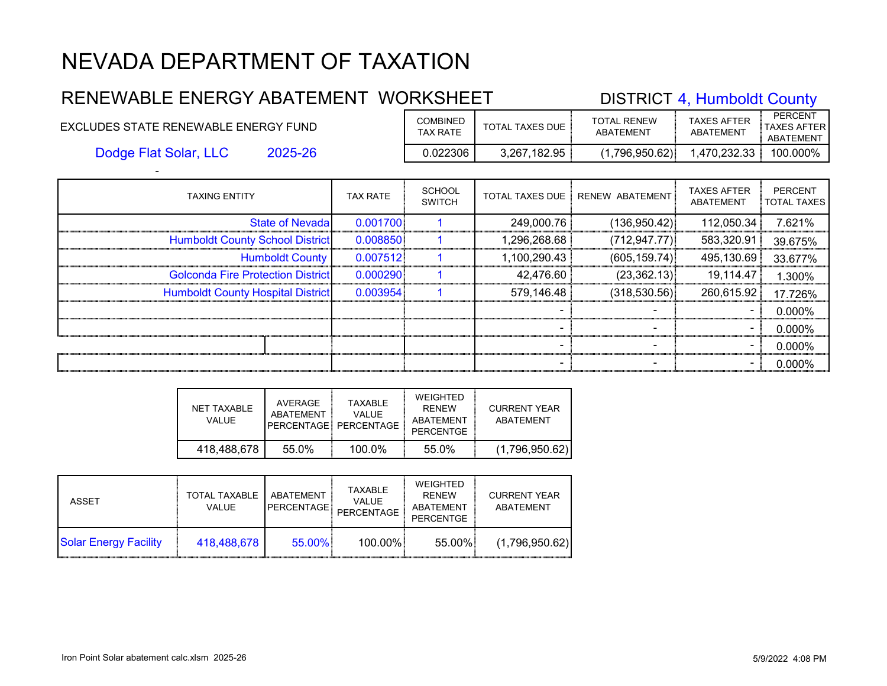#### RENEWABLE ENERGY ABATEMENT WORKSHEET DISTRICT 4, Humboldt County EXCLUDES STATE RENEWABLE ENERGY FUND COMBINED TOTAL TAXES DUE TOTAL RENEW ABATEMENT TAXES AFTER ABATEMENT PERCENT TAXES AFTER ABATEMENT 2025-26 0.022306 3,267,182.95 (1,796,950.62) 1,470,232.33 100.000% Dodge Flat Solar, LLC

| <b>TAXING ENTITY</b>                     | <b>TAX RATE</b> | <b>SCHOOL</b><br><b>SWITCH</b> |              | TOTAL TAXES DUE : RENEW ABATEMENT | <b>TAXES AFTER</b><br>ABATEMENT | <b>PERCENT</b><br><b>TOTAL TAXES</b> |
|------------------------------------------|-----------------|--------------------------------|--------------|-----------------------------------|---------------------------------|--------------------------------------|
| <b>State of Nevada</b>                   | 0.001700        |                                | 249,000.76   | (136,950.42)                      | 112,050.34                      | 7.621%                               |
| <b>Humboldt County School District</b>   | 0.008850        |                                | 1,296,268.68 | (712, 947.77)                     | 583,320.91                      | 39.675%                              |
| <b>Humboldt County</b>                   | 0.007512        |                                | 1,100,290.43 | (605, 159.74)                     | 495,130.69                      | 33.677%                              |
| <b>Golconda Fire Protection District</b> | 0.000290        |                                | 42,476.60    | (23, 362.13)                      | 19,114.47                       | 1.300%                               |
| <b>Humboldt County Hospital District</b> | 0.003954        |                                | 579,146.48   | (318,530.56)                      | 260,615.92                      | 17.726%                              |
|                                          |                 |                                |              |                                   |                                 | $0.000\%$                            |
|                                          |                 |                                |              |                                   |                                 | $0.000\%$                            |
|                                          |                 |                                |              |                                   |                                 | $0.000\%$                            |
|                                          |                 |                                |              |                                   |                                 | $0.000\%$                            |

| NET TAXABLE<br>VALUE. | AVERAGE<br>ABATFMENT | TAXARI F<br>VALUE<br>PFRCFNTAGF PFRCFNTAGF | WEIGHTED<br><b>RFNFW</b><br>ABATEMENT<br>PERCENTGE | CURRENT YEAR<br>ABATEMENT |
|-----------------------|----------------------|--------------------------------------------|----------------------------------------------------|---------------------------|
| 418,488,678           | 55.0%                | 100.0%                                     | 55.0%                                              | (1,796,950.62)            |

| <b>ASSET</b>                 | TOTAL TAXABLE<br><b>VALUE</b> | ABATFMFNT<br><b>PERCENTAGE</b> | TAXABLE<br><b>VALUE</b><br><b>PERCENTAGE</b> | WEIGHTED<br><b>RFNFW</b><br>ABATEMENT<br><b>PERCENTGE</b> | <b>CURRENT YEAR</b><br>ABATEMENT |
|------------------------------|-------------------------------|--------------------------------|----------------------------------------------|-----------------------------------------------------------|----------------------------------|
| <b>Solar Energy Facility</b> | 418.488.678                   | 55.00%                         | 100.00%                                      | 55.00%                                                    | (1,796,950.62)                   |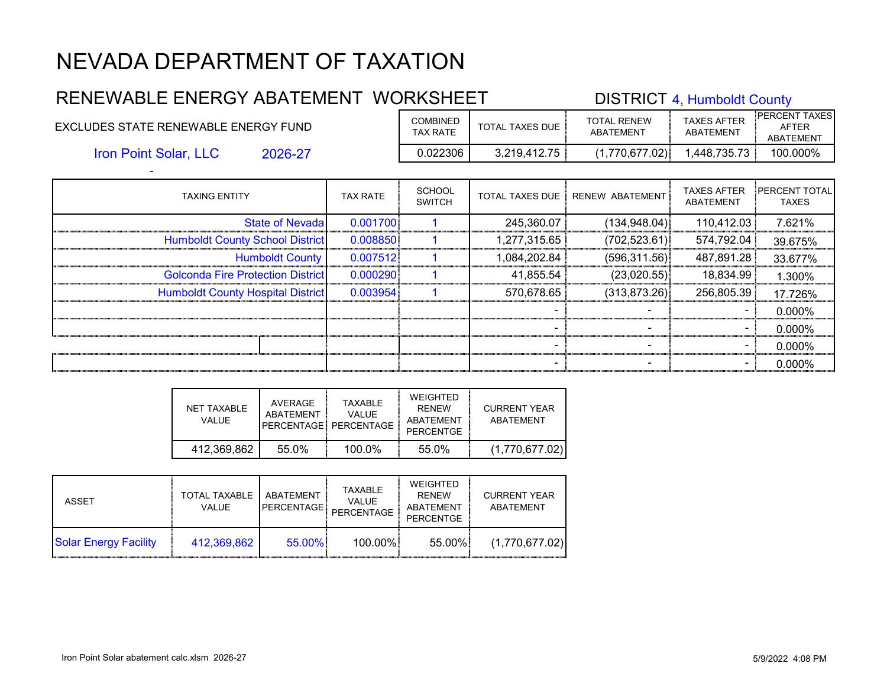#### RENEWABLE ENERGY ABATEMENT WORKSHEET DISTRICT 4, Humboldt County EXCLUDES STATE RENEWABLE ENERGY FUND COMBINED TOTAL TAXES DUE TOTAL RENEW ABATEMENT TAXES AFTER ABATEMENT PERCENT TAXES AFTER ABATEMENT 2026-27 0.022306 3,219,412.75 (1,770,677.02) 1,448,735.73 100.000% Iron Point Solar, LLC

| <b>TAXING ENTITY</b>                     | <b>TAX RATE</b> | <b>SCHOOL</b><br><b>SWITCH</b> | <b>TOTAL TAXES DUE  </b> | RENEW ABATEMENT | <b>TAXES AFTER</b><br><b>ABATEMENT</b> | <b>PERCENT TOTAL</b><br><b>TAXES</b> |
|------------------------------------------|-----------------|--------------------------------|--------------------------|-----------------|----------------------------------------|--------------------------------------|
| <b>State of Nevadal</b>                  | 0.001700        |                                | 245,360.07               | (134, 948.04)   | 110,412.03                             | 7.621%                               |
| <b>Humboldt County School District</b>   | 0.008850        |                                | 1,277,315.65             | (702, 523.61)   | 574,792.04                             | 39.675%                              |
| <b>Humboldt County</b>                   | 0.007512        |                                | 1,084,202.84             | (596, 311.56)   | 487,891.28                             | 33.677%                              |
| <b>Golconda Fire Protection District</b> | 0.000290        |                                | 41,855.54                | (23,020.55)     | 18,834.99                              | 1.300%                               |
| <b>Humboldt County Hospital District</b> | 0.003954        |                                | 570,678.65               | (313, 873.26)   | 256,805.39                             | 17.726%                              |
|                                          |                 |                                |                          |                 |                                        | 0.000%                               |
|                                          |                 |                                |                          |                 |                                        | 0.000%                               |
|                                          |                 |                                |                          |                 |                                        | 0.000%                               |
|                                          |                 |                                |                          |                 |                                        | 0.000%                               |

| NFT TAXABLE<br>VALUE. | AVERAGE<br>ABATFMFNT | <b>TAXABLE</b><br>VALUE.<br>PERCENTAGE PERCENTAGE | WEIGHTED<br><b>RFNFW</b><br>ABATEMENT<br>PERCENTGE | CURRENT YEAR<br>ABATEMENT |
|-----------------------|----------------------|---------------------------------------------------|----------------------------------------------------|---------------------------|
| 412,369,862           | 55.0%                | $100.0\%$                                         | 55.0%                                              | (1,770,677.02)            |

| ASSET                        | <b>TOTAL TAXABLE</b><br><b>VALUE</b> | ABATEMENT<br><b>PERCENTAGE!</b> | TAXABLE<br><b>VALUE</b><br>PERCENTAGE | WEIGHTED<br><b>RFNFW</b><br>ABATEMENT<br><b>PERCENTGE</b> | <b>CURRENT YEAR</b><br>ABATEMENT |
|------------------------------|--------------------------------------|---------------------------------|---------------------------------------|-----------------------------------------------------------|----------------------------------|
| <b>Solar Energy Facility</b> | 412.369.862                          | $55.00\%$                       | 100.00%                               | 55.00%                                                    | (1,770,677.02)                   |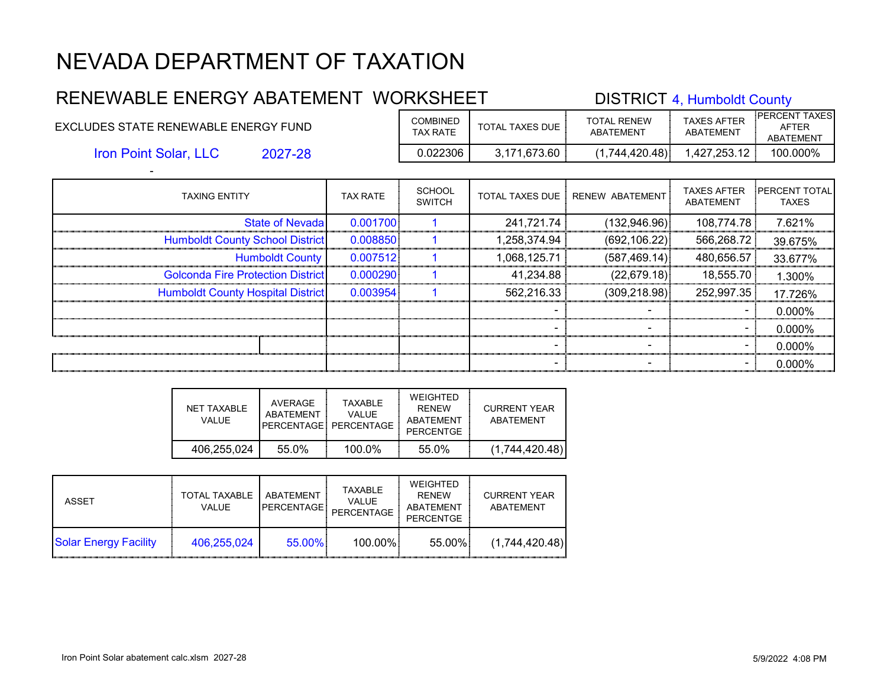#### RENEWABLE ENERGY ABATEMENT WORKSHEET DISTRICT 4, Humboldt County EXCLUDES STATE RENEWABLE ENERGY FUND COMBINED TOTAL TAXES DUE TOTAL RENEW ABATEMENT TAXES AFTER ABATEMENT PERCENT TAXES AFTER ABATEMENT 2027-28 0.022306 3,171,673.60 (1,744,420.48) 1,427,253.12 100.000% Iron Point Solar, LLC

| <b>TAXING ENTITY</b>                     | <b>TAX RATE</b> | <b>SCHOOL</b><br><b>SWITCH</b> | <b>TOTAL TAXES DUE</b> | RENEW ABATEMENT | <b>TAXES AFTER</b><br>ABATEMENT | <b>PERCENT TOTAL</b><br><b>TAXES</b> |
|------------------------------------------|-----------------|--------------------------------|------------------------|-----------------|---------------------------------|--------------------------------------|
| <b>State of Nevada</b>                   | 0.001700        |                                | 241,721.74             | (132,946.96)    | 108,774.78                      | 7.621%                               |
| <b>Humboldt County School District</b>   | 0.008850        |                                | 1,258,374.94           | (692, 106.22)   | 566,268.72                      | 39.675%                              |
| <b>Humboldt County</b>                   | 0.007512        |                                | 1,068,125.71           | (587, 469.14)   | 480,656.57                      | 33.677%                              |
| <b>Golconda Fire Protection District</b> | 0.000290        |                                | 41,234.88              | (22, 679.18)    | 18,555.70                       | 1.300%                               |
| <b>Humboldt County Hospital District</b> | 0.003954        |                                | 562,216.33             | (309, 218.98)   | 252,997.35                      | 17.726%                              |
|                                          |                 |                                |                        |                 |                                 | 0.000%                               |
|                                          |                 |                                |                        |                 | $\sim$                          | 0.000%                               |
|                                          |                 |                                |                        |                 |                                 | 0.000%                               |
|                                          |                 |                                |                        |                 |                                 | 0.000%                               |

| NET TAXABLE<br>VALUE | AVERAGE<br>ABATFMFNT | <b>TAXABLE</b><br><b>VALUE</b><br>PERCENTAGE: PERCENTAGE | WEIGHTED<br><b>RFNFW</b><br>ABATEMENT<br>PERCENTGE | CURRENT YEAR<br>ABATEMENT |
|----------------------|----------------------|----------------------------------------------------------|----------------------------------------------------|---------------------------|
| 406.255.024          | 55.0%                | 100.0%                                                   | 55.0%                                              | (1,744,420.48)            |

| ASSET                        | <b>TOTAL TAXABLE</b><br>VALUE. | ABATEMENT<br><b>PERCENTAGE</b> | TAXABLE<br><b>VALUE</b><br>PERCENTAGE | WEIGHTED<br><b>RFNFW</b><br>ABATEMENT<br><b>PERCENTGE</b> | <b>CURRENT YEAR</b><br>ABATEMENT |
|------------------------------|--------------------------------|--------------------------------|---------------------------------------|-----------------------------------------------------------|----------------------------------|
| <b>Solar Energy Facility</b> | 406.255.024                    | 55.00%                         | 100.00%                               | 55.00%                                                    | (1,744,420.48)                   |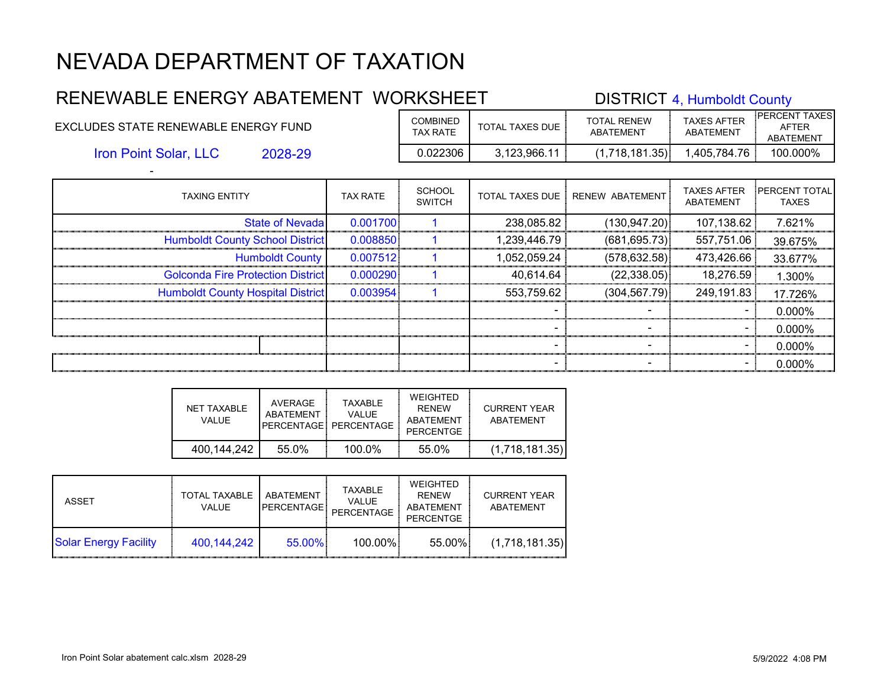#### RENEWABLE ENERGY ABATEMENT WORKSHEET DISTRICT 4, Humboldt County EXCLUDES STATE RENEWABLE ENERGY FUND COMBINED TOTAL TAXES DUE TOTAL RENEW ABATEMENT TAXES AFTER ABATEMENT PERCENT TAXES AFTER ABATEMENT 2028-29 0.022306 3,123,966.11 (1,718,181.35) 1,405,784.76 100.000% Iron Point Solar, LLC

| <b>TAXING ENTITY</b>                     | <b>TAX RATE</b> | <b>SCHOOL</b><br><b>SWITCH</b> | <b>TOTAL TAXES DUE</b> | RENEW ABATEMENT | <b>TAXES AFTER</b><br>ABATEMENT | <b>PERCENT TOTAL</b><br><b>TAXES</b> |
|------------------------------------------|-----------------|--------------------------------|------------------------|-----------------|---------------------------------|--------------------------------------|
| <b>State of Nevadal</b>                  | 0.001700        |                                | 238,085.82             | (130, 947.20)   | 107,138.62                      | 7.621%                               |
| <b>Humboldt County School District</b>   | 0.008850        |                                | 1,239,446.79           | (681, 695.73)   | 557,751.06                      | 39.675%                              |
| <b>Humboldt County</b>                   | 0.007512        |                                | 1,052,059.24           | (578, 632.58)   | 473,426.66                      | 33.677%                              |
| <b>Golconda Fire Protection District</b> | 0.000290        |                                | 40,614.64              | (22, 338.05)    | 18,276.59                       | 1.300%                               |
| <b>Humboldt County Hospital District</b> | 0.003954        |                                | 553,759.62             | (304, 567.79)   | 249,191.83                      | 17.726%                              |
|                                          |                 |                                |                        |                 |                                 | 0.000%                               |
|                                          |                 |                                |                        |                 | $\blacksquare$                  | 0.000%                               |
|                                          |                 |                                |                        |                 |                                 | 0.000%                               |
|                                          |                 |                                |                        |                 |                                 | 0.000%                               |

| NET TAXABLE<br>VALUE. | AVERAGE<br>ARATFMENT | <b>TAXABLE</b><br>VALUE.<br>PFRCENTAGE: PERCENTAGE | WEIGHTED<br><b>RFNFW</b><br>ABATEMENT<br>PERCENTGE | CURRENT YEAR<br>ABATEMENT |
|-----------------------|----------------------|----------------------------------------------------|----------------------------------------------------|---------------------------|
| 400,144,242           | 55.0%                | $100.0\%$                                          | 55.0%                                              | (1,718,181.35)            |

| ASSET                        | <b>TOTAL TAXABLE</b><br>VALUE. | ABATEMENT<br><b>PERCENTAGE</b> | TAXABLE<br><b>VALUE</b><br>PERCENTAGE | WEIGHTED<br><b>RFNFW</b><br>ABATEMENT<br><b>PERCENTGE</b> | <b>CURRENT YEAR</b><br>ABATEMENT |
|------------------------------|--------------------------------|--------------------------------|---------------------------------------|-----------------------------------------------------------|----------------------------------|
| <b>Solar Energy Facility</b> | 400,144,242                    | 55.00%                         | 100.00%                               | 55.00%                                                    | (1,718,181.35)                   |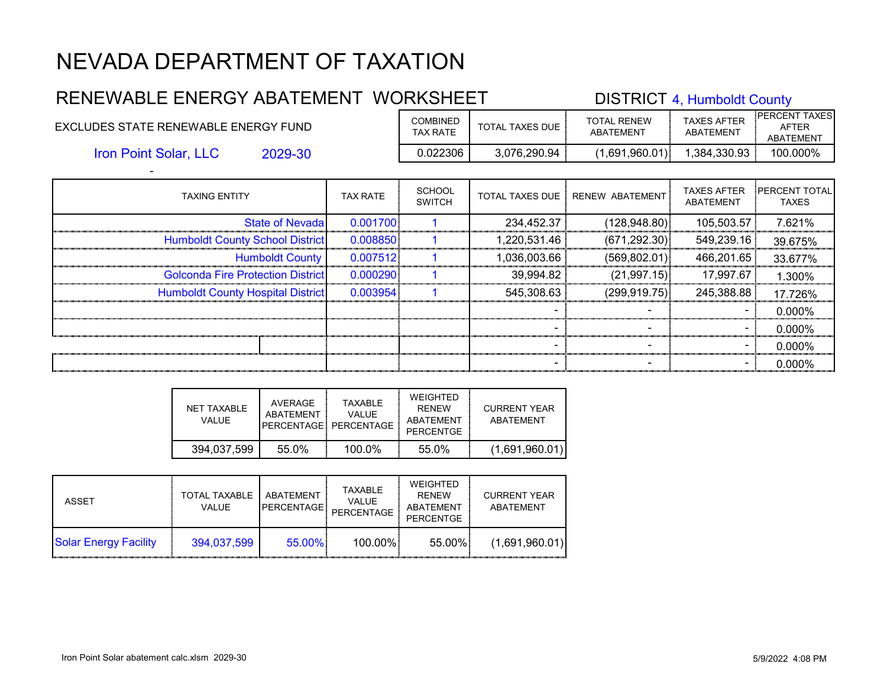#### RENEWABLE ENERGY ABATEMENT WORKSHEET DISTRICT 4, Humboldt County EXCLUDES STATE RENEWABLE ENERGY FUND COMBINED TOTAL TAXES DUE TOTAL RENEW ABATEMENT TAXES AFTER ABATEMENT PERCENT TAXES AFTER ABATEMENT 2029-30 0.022306 3,076,290.94 (1,691,960.01) 1,384,330.93 100.000% - Iron Point Solar, LLC

| <b>TAXING ENTITY</b>                     | <b>TAX RATE</b> | SCHOOL<br><b>SWITCH</b> | <b>TOTAL TAXES DUE</b> | RENEW ABATEMENT | <b>TAXES AFTER</b><br>ABATEMENT | <b>PERCENT TOTAL</b><br><b>TAXES</b> |
|------------------------------------------|-----------------|-------------------------|------------------------|-----------------|---------------------------------|--------------------------------------|
| <b>State of Nevada</b>                   | 0.001700        |                         | 234,452.37             | (128, 948.80)   | 105,503.57                      | 7.621%                               |
| <b>Humboldt County School District</b>   | 0.008850        |                         | 1,220,531.46           | (671, 292.30)   | 549,239.16                      | 39.675%                              |
| <b>Humboldt County</b>                   | 0.007512        |                         | 1,036,003.66           | (569.802.01)    | 466,201.65                      | 33.677%                              |
| <b>Golconda Fire Protection District</b> | 0.000290        |                         | 39,994.82              | (21, 997.15)    | 17,997.67                       | 1.300%                               |
| <b>Humboldt County Hospital District</b> | 0.003954        |                         | 545,308.63             | (299.919.75)    | 245,388.88                      | 17.726%                              |
|                                          |                 |                         |                        |                 |                                 | 0.000%                               |
|                                          |                 |                         |                        |                 | ۰.                              | 0.000%                               |
|                                          |                 |                         |                        |                 | -                               | 0.000%                               |
|                                          |                 |                         |                        |                 |                                 | 0.000%                               |

| NFT TAXABLE<br>VALUE. | AVERAGE<br>ABATFMFNT | <b>TAXABLE</b><br>VALUE.<br>PFRCFNTAGF PFRCFNTAGF | WEIGHTED<br><b>RFNFW</b><br>ABATEMENT<br>PERCENTGE | CURRENT YEAR<br>ABATFMENT |
|-----------------------|----------------------|---------------------------------------------------|----------------------------------------------------|---------------------------|
| 394.037.599           | 55.0%                | $100.0\%$                                         | 55.0%                                              | (1,691,960.01)            |

| ASSET                        | <b>TOTAL TAXABLE</b><br>VALUE | ABATEMENT<br><b>PERCENTAGE</b> | TAXABLE<br><b>VALUE</b><br>PERCENTAGE | WEIGHTED<br><b>RFNFW</b><br>ABATEMENT<br><b>PERCENTGE</b> | <b>CURRENT YEAR</b><br>ABATEMENT |
|------------------------------|-------------------------------|--------------------------------|---------------------------------------|-----------------------------------------------------------|----------------------------------|
| <b>Solar Energy Facility</b> | 394,037,599                   | 55.00%                         | 100.00%                               | 55.00%                                                    | (1,691,960.01)                   |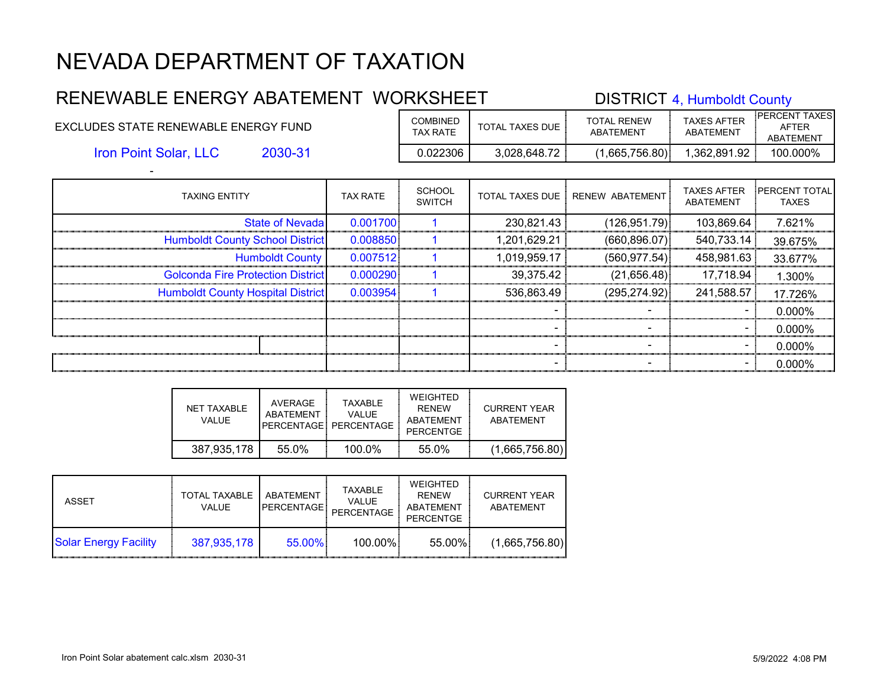#### RENEWABLE ENERGY ABATEMENT WORKSHEET DISTRICT 4, Humboldt County EXCLUDES STATE RENEWABLE ENERGY FUND COMBINED TOTAL TAXES DUE TOTAL RENEW ABATEMENT TAXES AFTER ABATEMENT PERCENT TAXES AFTER ABATEMENT 2030-31 0.022306 3,028,648.72 (1,665,756.80) 1,362,891.92 100.000% Iron Point Solar, LLC

| <b>TAXING ENTITY</b>                     | <b>TAX RATE</b> | <b>SCHOOL</b><br><b>SWITCH</b> | <b>TOTAL TAXES DUE  </b> | RENEW ABATEMENT | <b>TAXES AFTER</b><br><b>ABATEMENT</b> | <b>PERCENT TOTAL</b><br><b>TAXES</b> |
|------------------------------------------|-----------------|--------------------------------|--------------------------|-----------------|----------------------------------------|--------------------------------------|
| <b>State of Nevadal</b>                  | 0.001700        |                                | 230,821.43               | (126, 951.79)   | 103,869.64                             | 7.621%                               |
| <b>Humboldt County School District</b>   | 0.008850        |                                | 1,201,629.21             | (660, 896.07)   | 540,733.14                             | 39.675%                              |
| <b>Humboldt County</b>                   | 0.007512        |                                | 1,019,959.17             | (560.977.54)    | 458,981.63                             | 33.677%                              |
| <b>Golconda Fire Protection District</b> | 0.000290        |                                | 39,375.42                | (21,656.48)     | 17,718.94                              | 1.300%                               |
| <b>Humboldt County Hospital District</b> | 0.003954        |                                | 536,863.49               | (295, 274.92)   | 241,588.57                             | 17.726%                              |
|                                          |                 |                                |                          |                 |                                        | 0.000%                               |
|                                          |                 |                                |                          |                 |                                        | 0.000%                               |
|                                          |                 |                                |                          |                 |                                        | 0.000%                               |
|                                          |                 |                                |                          |                 |                                        | 0.000%                               |

| NET TAXABLE<br>VALUE. | AVERAGE<br>ABATFMFNT | <b>TAXABLE</b><br>VALUE.<br>PERCENTAGE PERCENTAGE | WEIGHTED<br><b>RFNFW</b><br>ABATEMENT<br>PERCENTGE | CURRENT YEAR<br>ABATEMENT |
|-----------------------|----------------------|---------------------------------------------------|----------------------------------------------------|---------------------------|
| 387,935,178           | 55.0%                | $100.0\%$                                         | 55.0%                                              | (1,665,756.80)            |

| ASSET                        | <b>TOTAL TAXABLE</b><br>VALUE. | ABATEMENT<br><b>PERCENTAGE</b> | TAXABLE<br><b>VALUE</b><br>PERCENTAGE | WEIGHTED<br><b>RFNFW</b><br>ABATEMENT<br><b>PERCENTGE</b> | <b>CURRENT YEAR</b><br>ABATEMENT |
|------------------------------|--------------------------------|--------------------------------|---------------------------------------|-----------------------------------------------------------|----------------------------------|
| <b>Solar Energy Facility</b> | 387,935,178                    | 55.00%                         | 100.00%                               | 55.00%                                                    | (1,665,756.80)                   |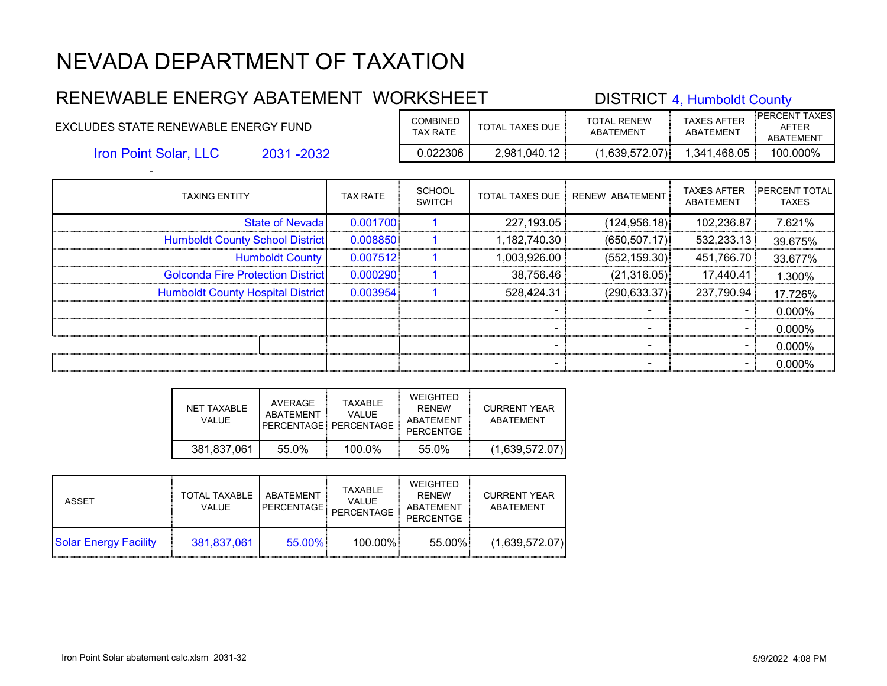#### RENEWABLE ENERGY ABATEMENT WORKSHEET DISTRICT 4, Humboldt County EXCLUDES STATE RENEWABLE ENERGY FUND COMBINED TOTAL TAXES DUE TOTAL RENEW ABATEMENT TAXES AFTER ABATEMENT PERCENT TAXES AFTER ABATEMENT 2031 -2032 0.022306 2,981,040.12 (1,639,572.07) 1,341,468.05 100.000% Iron Point Solar, LLC

| <b>TAXING ENTITY</b>                     | <b>TAX RATE</b> | <b>SCHOOL</b><br><b>SWITCH</b> | <b>TOTAL TAXES DUE</b> | <b>RENEW ABATEMENT</b> | <b>TAXES AFTER</b><br><b>ABATEMENT</b> | <b>PERCENT TOTAL</b><br><b>TAXES</b> |
|------------------------------------------|-----------------|--------------------------------|------------------------|------------------------|----------------------------------------|--------------------------------------|
| <b>State of Nevada</b>                   | 0.001700        |                                | 227,193.05             | (124, 956.18)          | 102,236.87                             | 7.621%                               |
| <b>Humboldt County School District</b>   | 0.008850        |                                | 1,182,740.30           | (650, 507.17)          | 532,233.13                             | 39.675%                              |
| <b>Humboldt County</b>                   | 0.007512        |                                | 1,003,926.00           | (552, 159.30)          | 451,766.70                             | 33.677%                              |
| <b>Golconda Fire Protection District</b> | 0.000290        |                                | 38,756.46              | (21,316.05)            | 17,440.41                              | 1.300%                               |
| <b>Humboldt County Hospital District</b> | 0.003954        |                                | 528,424.31             | (290, 633.37)          | 237,790.94                             | 17.726%                              |
|                                          |                 |                                |                        |                        |                                        | 0.000%                               |
|                                          |                 |                                |                        |                        | ۰.                                     | 0.000%                               |
|                                          |                 |                                |                        |                        | $\blacksquare$                         | 0.000%                               |
|                                          |                 |                                |                        |                        |                                        | 0.000%                               |

| NET TAXABLE<br>VALUE. | AVERAGE<br>ABATFMFNT | <b>TAXABLE</b><br>VALUE.<br>PERCENTAGE PERCENTAGE | WEIGHTED<br><b>RFNFW</b><br>ABATEMENT<br>PERCENTGE | CURRENT YEAR<br>ABATEMENT |
|-----------------------|----------------------|---------------------------------------------------|----------------------------------------------------|---------------------------|
| 381,837,061           | 55.0%                | $100.0\%$                                         | 55.0%                                              | (1,639,572.07)            |

| ASSET                        | <b>TOTAL TAXABLE</b><br>VALUE. | ABATEMENT<br><b>PERCENTAGE!</b> | TAXABLE<br><b>VALUE</b><br>PERCENTAGE | WEIGHTED<br><b>RFNFW</b><br>ABATEMENT<br><b>PERCENTGE</b> | <b>CURRENT YEAR</b><br>ABATEMENT |
|------------------------------|--------------------------------|---------------------------------|---------------------------------------|-----------------------------------------------------------|----------------------------------|
| <b>Solar Energy Facility</b> | 381,837,061                    | 55.00%                          | 100.00%                               | 55.00%                                                    | (1,639,572.07)                   |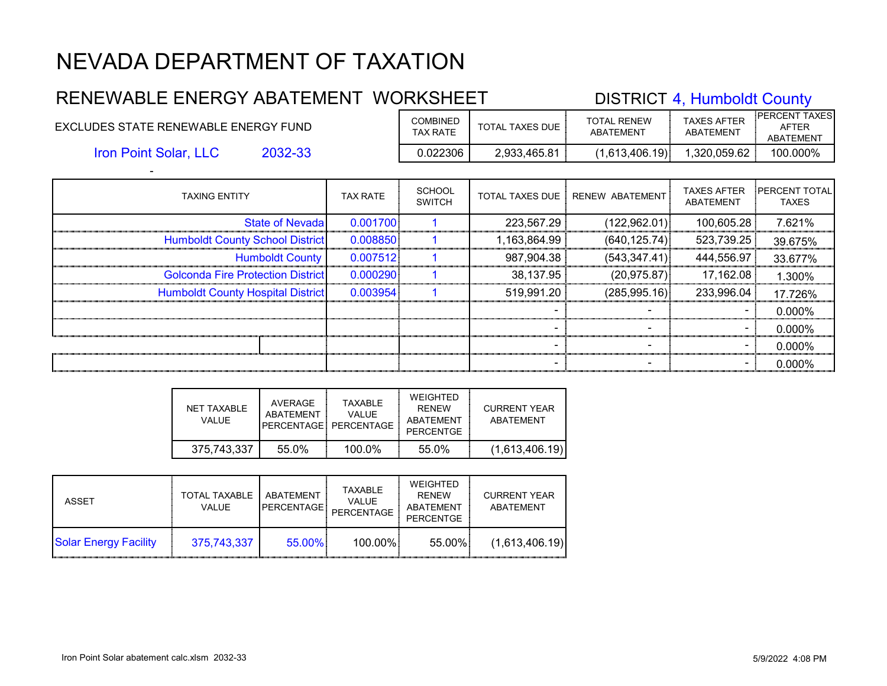#### RENEWABLE ENERGY ABATEMENT WORKSHEET DISTRICT 4, Humboldt County EXCLUDES STATE RENEWABLE ENERGY FUND COMBINED TOTAL TAXES DUE TOTAL RENEW ABATEMENT TAXES AFTER ABATEMENT PERCENT TAXES AFTER ABATEMENT

Iron Point Solar, LLC

**TAXING ENTITY** 

-

2032-33 0.022306 2,933,465.81 (1,613,406.19) 1,320,059.62 100.000%

|        | TAX RATE | <b>SCHOOL</b><br><b>SWITCH</b> |            | TOTAL TAXES DUE   RENEW ABATEMENT | <b>TAXES AFTER</b><br>ABATEMENT |
|--------|----------|--------------------------------|------------|-----------------------------------|---------------------------------|
| evadal | 0.001700 |                                | 223.567.29 | (122.962.01)]                     | 100.605.2                       |

| <b>State of Nevadal</b>                  | 0.001700 | 223,567.29   | (122,962.01)] | 100,605.28 | 7.621%    |
|------------------------------------------|----------|--------------|---------------|------------|-----------|
| <b>Humboldt County School District</b>   | 0.008850 | 1,163,864.99 | (640, 125.74) | 523,739.25 | 39.675%   |
| <b>Humboldt County</b>                   | 0.007512 | 987,904.38   | (543, 347.41) | 444,556.97 | 33.677%   |
| <b>Golconda Fire Protection District</b> | 0.000290 | 38,137.95    | (20.975.87)   | 17,162.08  | $1.300\%$ |
| <b>Humboldt County Hospital District</b> | 0.003954 | 519,991.20   | (285, 995.16) | 233,996.04 | 17.726%   |
|                                          |          |              |               |            | $0.000\%$ |
|                                          |          |              |               |            | $0.000\%$ |
|                                          |          |              |               |            | $0.000\%$ |

| NFT TAXABLE<br>VAI UF | AVERAGE<br>ABATFMFNT | <b>TAXABLE</b><br>VALUE.<br>PERCENTAGE PERCENTAGE | <b>WEIGHTED</b><br><b>RFNFW</b><br>ABATEMENT<br><b>PERCENTGE</b> | CURRENT YEAR<br>ABATEMENT |
|-----------------------|----------------------|---------------------------------------------------|------------------------------------------------------------------|---------------------------|
| 375,743,337           | 55.0%                | 100.0%                                            | 55.0%                                                            | (1,613,406.19)            |

| ASSET                        | <b>TOTAL TAXABLE</b><br><b>VALUE</b> | ABATEMENT<br><b>PERCENTAGE!</b> | TAXABLE<br><b>VALUE</b><br>PERCENTAGE | WEIGHTED<br><b>RFNFW</b><br>ABATEMENT<br><b>PERCENTGE</b> | <b>CURRENT YEAR</b><br>ABATEMENT |
|------------------------------|--------------------------------------|---------------------------------|---------------------------------------|-----------------------------------------------------------|----------------------------------|
| <b>Solar Energy Facility</b> | 375,743,337                          | $55.00\%$                       | 100.00%                               | 55.00%                                                    | (1,613,406.19)                   |

- - - 0.000%

PERCENT TOTAL TAXES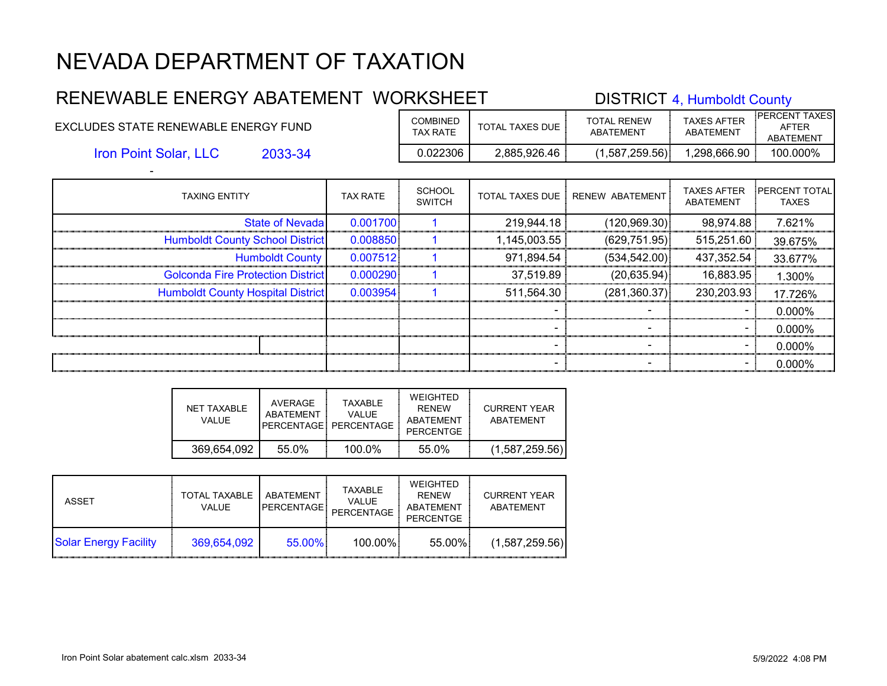#### RENEWABLE ENERGY ABATEMENT WORKSHEET DISTRICT 4, Humboldt County EXCLUDES STATE RENEWABLE ENERGY FUND COMBINED TOTAL TAXES DUE TOTAL RENEW ABATEMENT TAXES AFTER ABATEMENT PERCENT TAXES AFTER ABATEMENT 2033-34 0.022306 2,885,926.46 (1,587,259.56) 1,298,666.90 100.000% Iron Point Solar, LLC

| <b>TAXING ENTITY</b>                     | <b>TAX RATE</b> | <b>SCHOOL</b><br><b>SWITCH</b> | <b>TOTAL TAXES DUE</b> | RENEW ABATEMENT | <b>TAXES AFTER</b><br>ABATEMENT | <b>PERCENT TOTAL</b><br><b>TAXES</b> |
|------------------------------------------|-----------------|--------------------------------|------------------------|-----------------|---------------------------------|--------------------------------------|
| <b>State of Nevada</b>                   | 0.001700        |                                | 219,944.18             | (120, 969.30)   | 98,974.88                       | 7.621%                               |
| <b>Humboldt County School District</b>   | 0.008850        |                                | 1,145,003.55           | (629, 751.95)   | 515,251.60                      | 39.675%                              |
| <b>Humboldt County</b>                   | 0.007512        |                                | 971,894.54             | (534, 542.00)   | 437,352.54                      | 33.677%                              |
| <b>Golconda Fire Protection District</b> | 0.000290        |                                | 37,519.89              | (20, 635.94)    | 16,883.95                       | 1.300%                               |
| <b>Humboldt County Hospital District</b> | 0.003954        |                                | 511,564.30             | (281, 360.37)   | 230,203.93                      | 17.726%                              |
|                                          |                 |                                |                        |                 |                                 | 0.000%                               |
|                                          |                 |                                |                        |                 | $\sim$                          | 0.000%                               |
|                                          |                 |                                |                        |                 |                                 | 0.000%                               |
|                                          |                 |                                |                        |                 |                                 | 0.000%                               |

| NFT TAXABLE<br>VALUE. | AVERAGE<br>ABATFMFNT | <b>TAXABLE</b><br>VALUE.<br>PERCENTAGE: PERCENTAGE | WEIGHTED<br><b>RFNFW</b><br>ABATEMENT<br>PERCENTGE | CURRENT YEAR<br>ABATEMENT |
|-----------------------|----------------------|----------------------------------------------------|----------------------------------------------------|---------------------------|
| 369,654,092           | 55.0%                | $100.0\%$                                          | 55.0%                                              | (1,587,259.56)            |

| ASSET                        | <b>TOTAL TAXABLE</b><br>VALUE. | ABATEMENT<br><b>PERCENTAGE</b> | TAXABLE<br><b>VALUE</b><br>PERCENTAGE | WEIGHTED<br><b>RFNFW</b><br>ABATEMENT<br><b>PERCENTGE</b> | <b>CURRENT YEAR</b><br>ABATEMENT |
|------------------------------|--------------------------------|--------------------------------|---------------------------------------|-----------------------------------------------------------|----------------------------------|
| <b>Solar Energy Facility</b> | 369,654,092                    | 55.00%                         | 100.00%                               | 55.00%                                                    | (1,587,259.56)                   |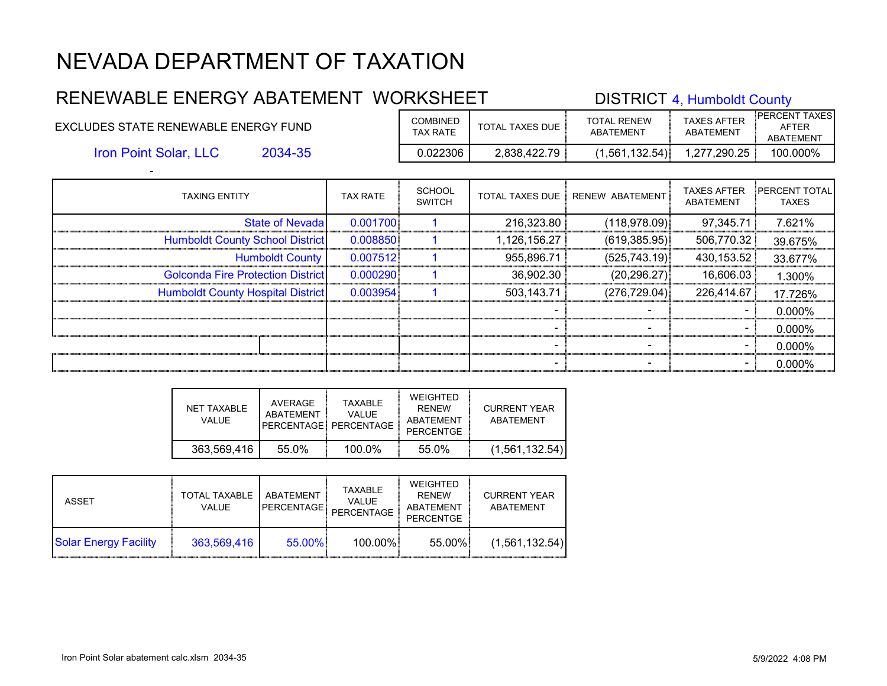#### RENEWABLE ENERGY ABATEMENT WORKSHEET DISTRICT 4, Humboldt County EXCLUDES STATE RENEWABLE ENERGY FUND COMBINED TOTAL TAXES DUE TOTAL RENEW ABATEMENT TAXES AFTER ABATEMENT PERCENT TAXES AFTER ABATEMENT 2034-35 0.022306 2,838,422.79 (1,561,132.54) 1,277,290.25 100.000% Iron Point Solar, LLC

| <b>TAXING ENTITY</b>                     | <b>TAX RATE</b> | <b>SCHOOL</b><br><b>SWITCH</b> | <b>TOTAL TAXES DUE  </b> | RENEW ABATEMENT | <b>TAXES AFTER</b><br><b>ABATEMENT</b> | <b>IPERCENT TOTAL</b><br><b>TAXES</b> |
|------------------------------------------|-----------------|--------------------------------|--------------------------|-----------------|----------------------------------------|---------------------------------------|
| <b>State of Nevadal</b>                  | 0.001700        |                                | 216,323.80               | (118, 978.09)   | 97,345.71                              | 7.621%                                |
| <b>Humboldt County School District</b>   | 0.008850        |                                | 1,126,156.27             | (619, 385.95)   | 506,770.32                             | 39.675%                               |
| <b>Humboldt County</b>                   | 0.007512        |                                | 955,896.71               | (525, 743.19)   | 430,153.52                             | 33.677%                               |
| <b>Golconda Fire Protection District</b> | 0.000290        |                                | 36,902.30                | (20, 296.27)    | 16,606.03                              | 1.300%                                |
| <b>Humboldt County Hospital District</b> | 0.003954        |                                | 503,143.71               | (276, 729.04)   | 226,414.67                             | 17.726%                               |
|                                          |                 |                                |                          |                 |                                        | 0.000%                                |
|                                          |                 |                                |                          |                 |                                        | 0.000%                                |
|                                          |                 |                                |                          |                 |                                        | 0.000%                                |
|                                          |                 |                                |                          |                 |                                        | 0.000%                                |

| NET TAXABLE<br>VALUE. | AVERAGE<br>ABATFMFNT | <b>TAXABLE</b><br>VALUE.<br>PFRCENTAGE: PERCENTAGE | WEIGHTED<br><b>RFNFW</b><br>ABATEMENT<br>PERCENTGE | CURRENT YEAR<br>ABATEMENT |
|-----------------------|----------------------|----------------------------------------------------|----------------------------------------------------|---------------------------|
| 363,569,416           | 55.0%                | $100.0\%$                                          | 55.0%                                              | (1,561,132.54)            |

| ASSET                        | <b>TOTAL TAXABLE</b><br>VALUE. | ABATEMENT<br><b>PERCENTAGE</b> | TAXABLE<br><b>VALUE</b><br>PERCENTAGE | WEIGHTED<br><b>RFNFW</b><br>ABATEMENT<br><b>PERCENTGE</b> | <b>CURRENT YEAR</b><br>ABATEMENT |
|------------------------------|--------------------------------|--------------------------------|---------------------------------------|-----------------------------------------------------------|----------------------------------|
| <b>Solar Energy Facility</b> | 363.569.416                    | 55.00%                         | 100.00%                               | 55.00%                                                    | (1,561,132.54)                   |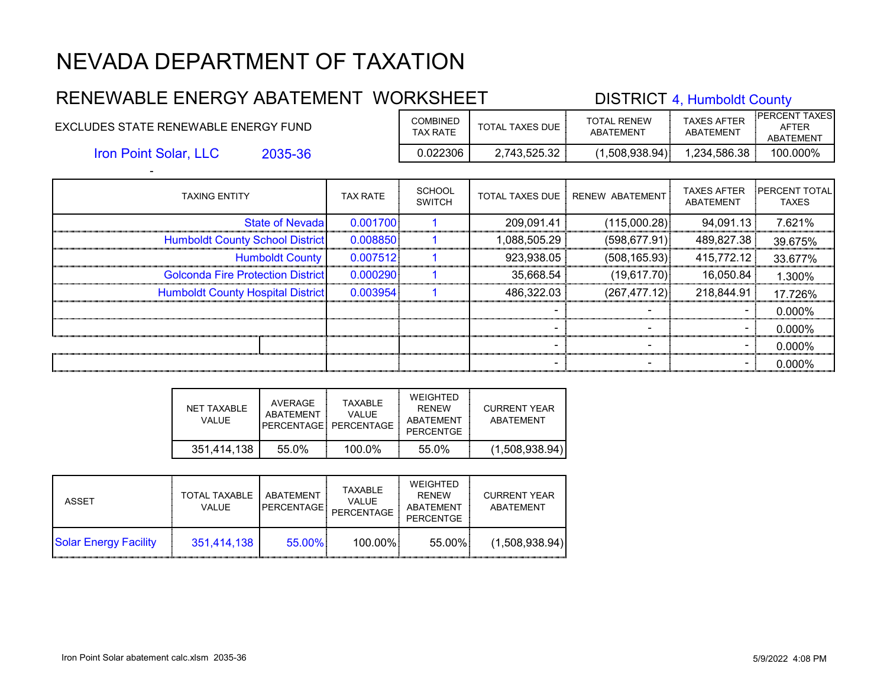#### RENEWABLE ENERGY ABATEMENT WORKSHEET DISTRICT 4, Humboldt County EXCLUDES STATE RENEWABLE ENERGY FUND COMBINED TOTAL TAXES DUE TOTAL RENEW ABATEMENT TAXES AFTER ABATEMENT PERCENT TAXES AFTER ABATEMENT 2035-36 0.022306 2,743,525.32 (1,508,938.94) 1,234,586.38 100.000% Iron Point Solar, LLC

| <b>TAXING ENTITY</b>                     | <b>TAX RATE</b> | <b>SCHOOL</b><br><b>SWITCH</b> | <b>TOTAL TAXES DUE  </b> | RENEW ABATEMENT | <b>TAXES AFTER</b><br>ABATEMENT | <b>PERCENT TOTAL</b><br><b>TAXES</b> |
|------------------------------------------|-----------------|--------------------------------|--------------------------|-----------------|---------------------------------|--------------------------------------|
| <b>State of Nevadal</b>                  | 0.001700        |                                | 209,091.41               | (115,000.28)    | 94,091.13                       | 7.621%                               |
| <b>Humboldt County School District</b>   | 0.008850        |                                | 1,088,505.29             | (598, 677.91)   | 489,827.38                      | 39.675%                              |
| <b>Humboldt County</b>                   | 0.007512        |                                | 923,938.05               | (508, 165.93)   | 415,772.12                      | 33.677%                              |
| <b>Golconda Fire Protection District</b> | 0.000290        |                                | 35,668.54                | (19,617.70)     | 16,050.84                       | 1.300%                               |
| <b>Humboldt County Hospital District</b> | 0.003954        |                                | 486,322.03               | (267, 477.12)   | 218,844.91                      | 17.726%                              |
|                                          |                 |                                |                          |                 |                                 | 0.000%                               |
|                                          |                 |                                |                          |                 |                                 | 0.000%                               |
|                                          |                 |                                |                          |                 |                                 | 0.000%                               |
|                                          |                 |                                |                          |                 |                                 | 0.000%                               |

| NET TAXABLE<br>VALUE. | AVERAGE<br>ABATFMFNT | <b>TAXABLE</b><br>VALUE.<br>PFRCFNTAGF PFRCFNTAGF | WEIGHTED<br><b>RFNFW</b><br>ABATEMENT<br>PERCENTGE | CURRENT YEAR<br>ABATFMENT |
|-----------------------|----------------------|---------------------------------------------------|----------------------------------------------------|---------------------------|
| 351,414,138           | 55.0%                | $100.0\%$                                         | 55.0%                                              | (1,508,938.94)            |

| ASSET                        | <b>TOTAL TAXABLE</b><br>VALUE. | ABATEMENT<br><b>PERCENTAGE</b> | TAXABLE<br><b>VALUE</b><br>PERCENTAGE | WEIGHTED<br><b>RFNFW</b><br>ABATEMENT<br><b>PERCENTGE</b> | <b>CURRENT YEAR</b><br>ABATEMENT |
|------------------------------|--------------------------------|--------------------------------|---------------------------------------|-----------------------------------------------------------|----------------------------------|
| <b>Solar Energy Facility</b> | 351,414,138                    | 55.00%                         | 100.00%                               | 55.00%                                                    | (1,508,938.94)                   |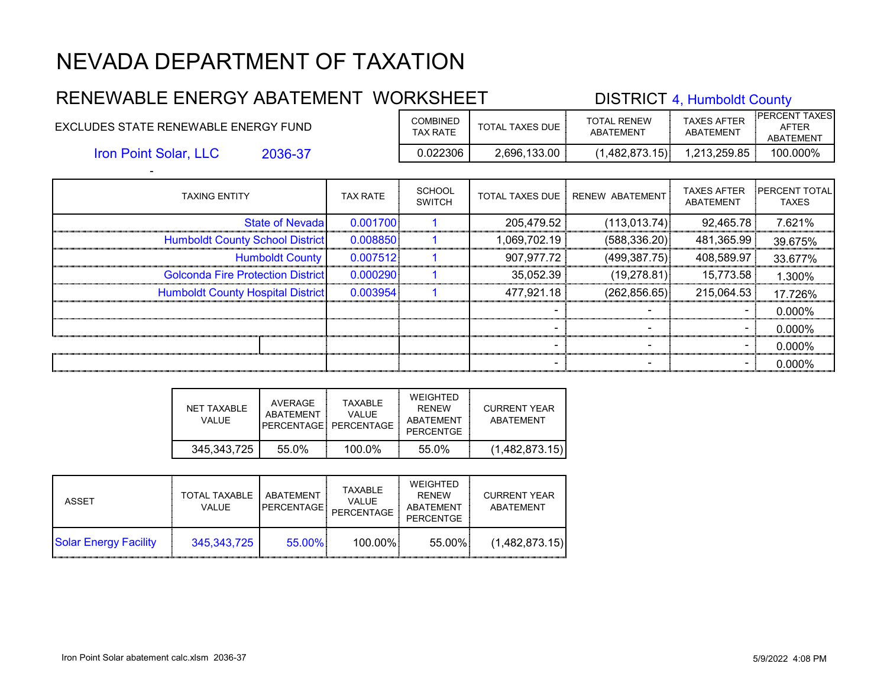#### RENEWABLE ENERGY ABATEMENT WORKSHEET DISTRICT 4, Humboldt County EXCLUDES STATE RENEWABLE ENERGY FUND COMBINED TOTAL TAXES DUE TOTAL RENEW ABATEMENT TAXES AFTER ABATEMENT PERCENT TAXES AFTER ABATEMENT 2036-37 0.022306 2,696,133.00 (1,482,873.15) 1,213,259.85 100.000% Iron Point Solar, LLC

| <b>TAXING ENTITY</b>                     | <b>TAX RATE</b> | <b>SCHOOL</b><br><b>SWITCH</b> | <b>TOTAL TAXES DUE</b> | RENEW ABATEMENT | <b>TAXES AFTER</b><br>ABATEMENT | <b>PERCENT TOTAL</b><br><b>TAXES</b> |
|------------------------------------------|-----------------|--------------------------------|------------------------|-----------------|---------------------------------|--------------------------------------|
| <b>State of Nevadal</b>                  | 0.001700        |                                | 205,479.52             | (113, 013.74)   | 92,465.78                       | 7.621%                               |
| <b>Humboldt County School District</b>   | 0.008850        |                                | 1,069,702.19           | (588, 336.20)   | 481,365.99                      | 39.675%                              |
| <b>Humboldt County</b>                   | 0.007512        |                                | 907,977.72             | (499, 387.75)   | 408,589.97                      | 33.677%                              |
| <b>Golconda Fire Protection District</b> | 0.000290        |                                | 35,052.39              | (19, 278.81)    | 15,773.58                       | 1.300%                               |
| <b>Humboldt County Hospital District</b> | 0.003954        |                                | 477,921.18             | (262, 856.65)   | 215,064.53                      | 17.726%                              |
|                                          |                 |                                |                        |                 |                                 | 0.000%                               |
|                                          |                 |                                |                        |                 | $\blacksquare$                  | 0.000%                               |
|                                          |                 |                                |                        |                 |                                 | 0.000%                               |
|                                          |                 |                                |                        |                 |                                 | 0.000%                               |

| NET TAXABLE<br>VALUE. | AVERAGE<br>ABATFMFNT | <b>TAXABLE</b><br>VALUE.<br>PFRCFNTAGF PFRCFNTAGF | <b>WEIGHTED</b><br><b>RFNFW</b><br>ABATEMENT<br>PERCENTGE | <b>CURRENT YEAR</b><br><b>ABATEMENT</b> |
|-----------------------|----------------------|---------------------------------------------------|-----------------------------------------------------------|-----------------------------------------|
| 345.343.725           | 55.0%                | 100.0%                                            | 55.0%                                                     | (1,482,873.15)                          |

| ASSET                        | <b>TOTAL TAXABLE</b><br><b>VALUE</b> | ABATFMFNT<br><b>PERCENTAGE!</b> | TAXABLE<br><b>VALUE</b><br>PERCENTAGE | WEIGHTED<br><b>RFNFW</b><br>ABATEMENT<br><b>PERCENTGE</b> | <b>CURRENT YEAR</b><br>ABATEMENT |
|------------------------------|--------------------------------------|---------------------------------|---------------------------------------|-----------------------------------------------------------|----------------------------------|
| <b>Solar Energy Facility</b> | 345,343,725                          | $55.00\%$                       | 100.00%                               | 55.00%                                                    | (1,482,873.15)                   |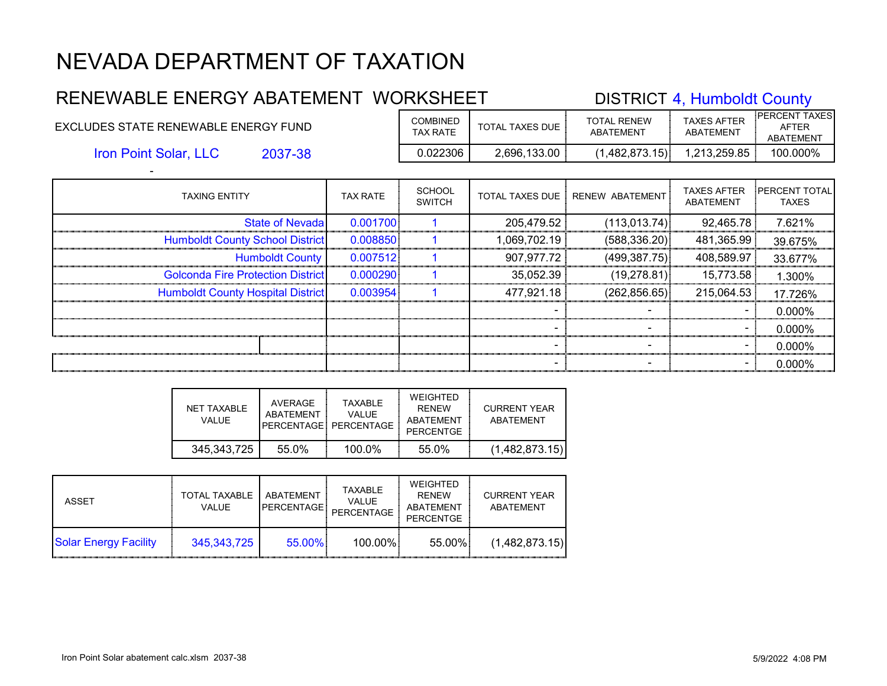### RENEWABLE ENERGY ABATEMENT WORKSHEET TAXES AFTER PERCENT TAXES

| EXCLUDES STATE RENEWABLE ENERGY FUND |         | <b>COMBINED</b><br><b>TAX RATE</b> | TOTAL TAXES DUE | TOTAL RENEW<br>ABATEMENT | TAXES AFTER<br>ABATEMENT | <b>AFTER</b><br><b>ABATEMENT</b> |  |
|--------------------------------------|---------|------------------------------------|-----------------|--------------------------|--------------------------|----------------------------------|--|
| <b>Iron Point Solar, LLC</b>         | 2037-38 | J.022306                           | 2,696,133.00    | (1,482,873.15)           | 1,213,259.85             | 100.000%                         |  |
|                                      |         |                                    |                 |                          |                          |                                  |  |

| <b>TAXING ENTITY</b>                     | <b>TAX RATE</b> | <b>SCHOOL</b><br><b>SWITCH</b> |              | TOTAL TAXES DUE   RENEW ABATEMENT | <b>TAXES AFTER</b><br>ABATEMENT | <b>PERCENT TOTAL</b><br><b>TAXES</b> |
|------------------------------------------|-----------------|--------------------------------|--------------|-----------------------------------|---------------------------------|--------------------------------------|
| <b>State of Nevadal</b>                  | 0.001700        |                                | 205,479.52   | (113, 013.74)                     | 92,465.78                       | 7.621%                               |
| <b>Humboldt County School District</b>   | 0.008850        |                                | 1,069,702.19 | (588, 336.20)                     | 481,365.99                      | 39.675%                              |
| <b>Humboldt County</b>                   | 0.007512        |                                | 907,977.72   | (499, 387.75)                     | 408,589.97                      | 33.677%                              |
| <b>Golconda Fire Protection District</b> | 0.000290        |                                | 35,052.39    | (19, 278.81)                      | 15,773.58                       | 1.300%                               |
| <b>Humboldt County Hospital District</b> | 0.003954        |                                | 477,921.18   | (262, 856.65)                     | 215,064.53                      | 17.726%                              |
|                                          |                 |                                |              |                                   |                                 | 0.000%                               |
|                                          |                 |                                |              |                                   | - 1                             | 0.000%                               |
|                                          |                 |                                |              |                                   |                                 | 0.000%                               |
|                                          |                 |                                |              |                                   | -                               | 0.000%                               |

| NFT TAXABLE<br>VALUE. | AVERAGE<br>ABATFMFNT | <b>TAXABLE</b><br>VALUE.<br>PERCENTAGE: PERCENTAGE | <b>WEIGHTED</b><br><b>RFNFW</b><br><b>ABATEMENT</b><br>PERCENTGE | <b>CURRENT YEAR</b><br><b>ABATEMENT</b> |
|-----------------------|----------------------|----------------------------------------------------|------------------------------------------------------------------|-----------------------------------------|
| 345.343.725           | 55.0%                | 100.0%                                             | 55.0%                                                            | (1,482,873.15)                          |

| ASSET                        | <b>TOTAL TAXABLE</b><br><b>VALUE</b> | ABATFMENT<br><b>PERCENTAGE</b> | <b>TAXABLE</b><br><b>VALUE</b><br>PERCENTAGE | WEIGHTED<br><b>RFNFW</b><br>ABATEMENT<br>PERCENTGE | <b>CURRENT YEAR</b><br>ABATEMENT |
|------------------------------|--------------------------------------|--------------------------------|----------------------------------------------|----------------------------------------------------|----------------------------------|
| <b>Solar Energy Facility</b> | 345, 343, 725                        | 55.00%                         | 100.00%                                      | 55.00%                                             | (1,482,873.15)                   |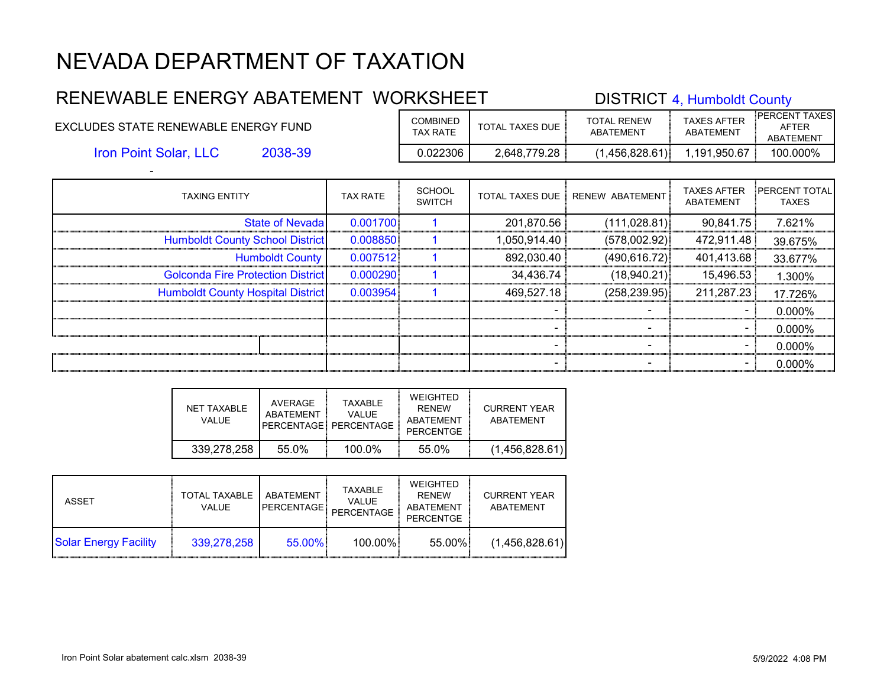#### RENEWABLE ENERGY ABATEMENT WORKSHEET DISTRICT 4, Humboldt County EXCLUDES STATE RENEWABLE ENERGY FUND COMBINED TOTAL TAXES DUE TOTAL RENEW ABATEMENT TAXES AFTER ABATEMENT PERCENT TAXES AFTER ABATEMENT 2038-39 0.022306 2,648,779.28 (1,456,828.61) 1,191,950.67 100.000% Iron Point Solar, LLC

| <b>TAXING ENTITY</b>                     | <b>TAX RATE</b> | <b>SCHOOL</b><br><b>SWITCH</b> | <b>TOTAL TAXES DUE</b> | RENEW ABATEMENT          | <b>TAXES AFTER</b><br><b>ABATEMENT</b> | <b>PERCENT TOTAL</b><br><b>TAXES</b> |
|------------------------------------------|-----------------|--------------------------------|------------------------|--------------------------|----------------------------------------|--------------------------------------|
| <b>State of Nevada</b>                   | 0.001700        |                                | 201,870.56             | (111, 028.81)            | 90,841.75                              | 7.621%                               |
| <b>Humboldt County School District</b>   | 0.008850        |                                | 1,050,914.40           | (578,002.92)             | 472,911.48                             | 39.675%                              |
| <b>Humboldt County</b>                   | 0.007512        |                                | 892,030.40             | (490, 616.72)            | 401,413.68                             | 33.677%                              |
| <b>Golconda Fire Protection District</b> | 0.000290        |                                | 34,436.74              | (18,940.21)              | 15,496.53                              | 1.300%                               |
| <b>Humboldt County Hospital District</b> | 0.003954        |                                | 469,527.18             | (258, 239.95)            | 211,287.23                             | 17.726%                              |
|                                          |                 |                                |                        |                          |                                        | $0.000\%$                            |
|                                          |                 |                                |                        | -                        | $\sim$                                 | $0.000\%$                            |
|                                          |                 |                                |                        | $\overline{\phantom{0}}$ | -                                      | $0.000\%$                            |
|                                          |                 |                                |                        |                          |                                        | 0.000%                               |

| NET TAXABLE<br>VALUE. | AVERAGE<br>ABATFMFNT | <b>TAXABLE</b><br>VALUE.<br>PERCENTAGE PERCENTAGE | WEIGHTED<br><b>RFNFW</b><br>ABATEMENT<br>PERCENTGE | CURRENT YEAR<br>ABATEMENT |
|-----------------------|----------------------|---------------------------------------------------|----------------------------------------------------|---------------------------|
| 339,278,258           | 55.0%                | $100.0\%$                                         | 55.0%                                              | (1,456,828.61)            |

| ASSET                        | <b>TOTAL TAXABLE</b><br>VALUE. | ABATEMENT<br><b>PERCENTAGE!</b> | TAXABLE<br><b>VALUE</b><br>PERCENTAGE | WEIGHTED<br><b>RFNFW</b><br>ABATEMENT<br><b>PERCENTGE</b> | <b>CURRENT YEAR</b><br>ABATEMENT |
|------------------------------|--------------------------------|---------------------------------|---------------------------------------|-----------------------------------------------------------|----------------------------------|
| <b>Solar Energy Facility</b> | 339.278.258                    | 55.00%                          | 100.00%                               | 55.00%                                                    | (1,456,828.61)                   |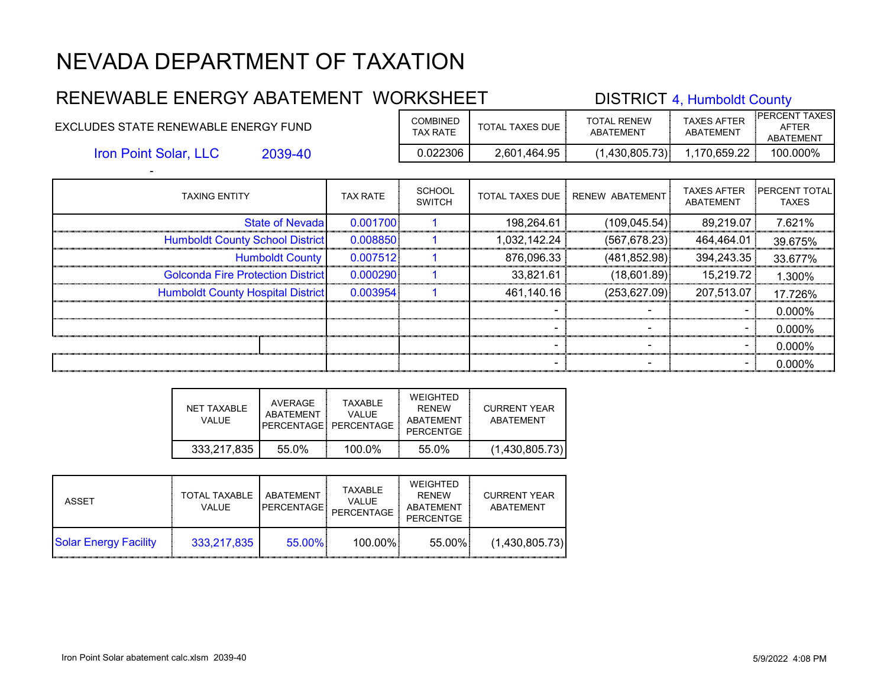#### RENEWABLE ENERGY ABATEMENT WORKSHEET DISTRICT 4, Humboldt County EXCLUDES STATE RENEWABLE ENERGY FUND COMBINED TOTAL TAXES DUE TOTAL RENEW ABATEMENT TAXES AFTER ABATEMENT PERCENT TAXES AFTER ABATEMENT 2039-40 0.022306 2,601,464.95 (1,430,805.73) 1,170,659.22 100.000% Iron Point Solar, LLC

| <b>TAXING ENTITY</b>                     | <b>TAX RATE</b> | <b>SCHOOL</b><br><b>SWITCH</b> | TOTAL TAXES DUE ! | RENEW ABATEMENT | <b>TAXES AFTER</b><br>ABATEMENT | <b>PERCENT TOTAL</b><br><b>TAXES</b> |
|------------------------------------------|-----------------|--------------------------------|-------------------|-----------------|---------------------------------|--------------------------------------|
| <b>State of Nevadal</b>                  | 0.001700        |                                | 198,264.61        | (109, 045.54)   | 89,219.07                       | 7.621%                               |
| <b>Humboldt County School District</b>   | 0.008850        |                                | 1,032,142.24      | (567, 678.23)   | 464,464.01                      | 39.675%                              |
| <b>Humboldt County</b>                   | 0.007512        |                                | 876,096.33        | (481, 852.98)   | 394,243.35                      | 33.677%                              |
| <b>Golconda Fire Protection District</b> | 0.000290        |                                | 33,821.61         | (18,601.89)     | 15,219.72                       | 1.300%                               |
| <b>Humboldt County Hospital District</b> | 0.003954        |                                | 461,140.16        | (253.627.09)    | 207,513.07                      | 17.726%                              |
|                                          |                 |                                |                   |                 |                                 | 0.000%                               |
|                                          |                 |                                |                   |                 | $\blacksquare$                  | 0.000%                               |
|                                          |                 |                                |                   |                 |                                 | 0.000%                               |
|                                          |                 |                                |                   |                 |                                 | 0.000%                               |

| NET TAXABLE<br>VALUE. | AVERAGE<br>ARATFMENT | <b>TAXABLE</b><br>VALUE.<br>PERCENTAGE: PERCENTAGE | WEIGHTED<br><b>RFNFW</b><br>ABATEMENT<br>PERCENTGE | CURRENT YEAR<br>ABATFMENT |
|-----------------------|----------------------|----------------------------------------------------|----------------------------------------------------|---------------------------|
| 333,217,835           | 55.0%                | $100.0\%$                                          | 55.0%                                              | (1,430,805.73)            |

| ASSET                        | <b>TOTAL TAXABLE</b><br><b>VALUE</b> | ABATFMFNT<br><b>PERCENTAGE!</b> | TAXABLE<br><b>VALUE</b><br>PERCENTAGE | WEIGHTED<br><b>RFNFW</b><br>ABATEMENT<br><b>PERCENTGE</b> | <b>CURRENT YEAR</b><br>ABATEMENT |
|------------------------------|--------------------------------------|---------------------------------|---------------------------------------|-----------------------------------------------------------|----------------------------------|
| <b>Solar Energy Facility</b> | 333,217,835                          | $55.00\%$                       | 100.00%                               | 55.00%                                                    | (1,430,805.73)                   |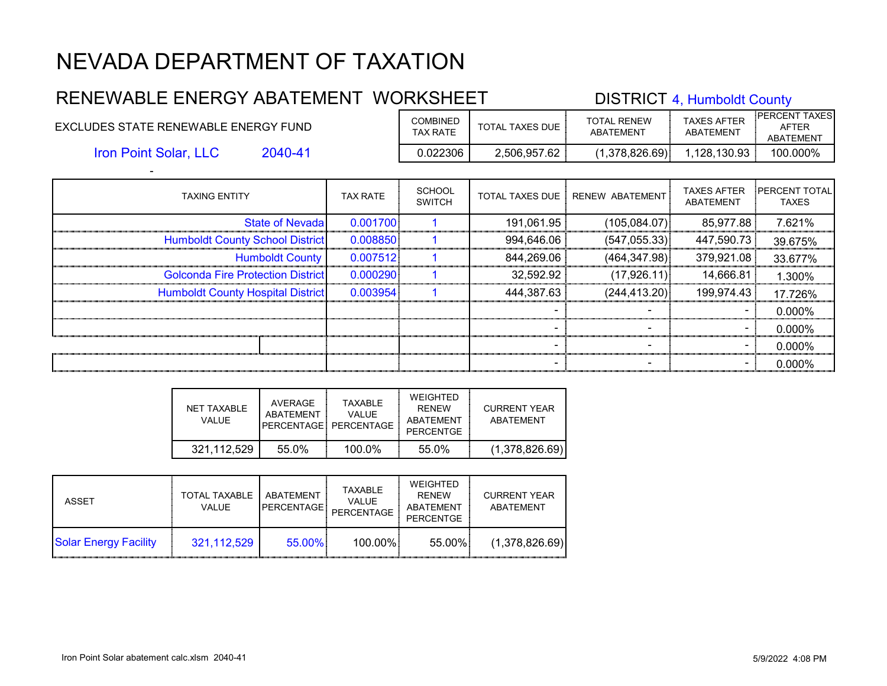#### RENEWABLE ENERGY ABATEMENT WORKSHEET DISTRICT 4, Humboldt County EXCLUDES STATE RENEWABLE ENERGY FUND COMBINED TOTAL TAXES DUE TOTAL RENEW ABATEMENT TAXES AFTER ABATEMENT PERCENT TAXES AFTER ABATEMENT 2040-41 0.022306 2,506,957.62 (1,378,826.69) 1,128,130.93 100.000% Iron Point Solar, LLC

| <b>TAXING ENTITY</b>                     | <b>TAX RATE</b> | <b>SCHOOL</b><br><b>SWITCH</b> | <b>TOTAL TAXES DUE</b> | RENEW ABATEMENT          | <b>TAXES AFTER</b><br><b>ABATEMENT</b> | <b>PERCENT TOTAL</b><br><b>TAXES</b> |
|------------------------------------------|-----------------|--------------------------------|------------------------|--------------------------|----------------------------------------|--------------------------------------|
| <b>State of Nevada</b>                   | 0.001700        |                                | 191,061.95             | (105,084.07)             | 85,977.88                              | 7.621%                               |
| <b>Humboldt County School District</b>   | 0.008850        |                                | 994,646.06             | (547, 055.33)            | 447,590.73                             | 39.675%                              |
| <b>Humboldt County</b>                   | 0.007512        |                                | 844,269.06             | (464, 347.98)            | 379,921.08                             | 33.677%                              |
| <b>Golconda Fire Protection District</b> | 0.000290        |                                | 32,592.92              | (17,926.11)              | 14,666.81                              | 1.300%                               |
| <b>Humboldt County Hospital District</b> | 0.003954        |                                | 444,387.63             | (244, 413.20)            | 199,974.43                             | 17.726%                              |
|                                          |                 |                                |                        |                          |                                        | $0.000\%$                            |
|                                          |                 |                                |                        | -                        | $\sim$                                 | $0.000\%$                            |
|                                          |                 |                                |                        | $\overline{\phantom{0}}$ | -                                      | $0.000\%$                            |
|                                          |                 |                                |                        |                          |                                        | 0.000%                               |

| NFT TAXABLE<br>VALUE. | AVERAGE<br>ABATFMFNT | <b>TAXABLE</b><br><b>VALUE</b><br>PERCENTAGE: PERCENTAGE | <b>WEIGHTED</b><br><b>RFNFW</b><br><b>ABATEMENT</b><br>PERCENTGE | <b>CURRENT YEAR</b><br><b>ABATEMENT</b> |
|-----------------------|----------------------|----------------------------------------------------------|------------------------------------------------------------------|-----------------------------------------|
| 321.112.529           | 55.0%                | 100.0%                                                   | 55.0%                                                            | (1,378,826.69)                          |

| ASSET                        | <b>TOTAL TAXABLE</b><br><b>VALUE</b> | ABATFMENT<br><b>PERCENTAGE</b> | <b>TAXABLE</b><br><b>VALUE</b><br>PERCENTAGE | WEIGHTED<br><b>RFNFW</b><br>ABATEMENT<br><b>PERCENTGE</b> | <b>CURRENT YEAR</b><br>ABATEMENT |
|------------------------------|--------------------------------------|--------------------------------|----------------------------------------------|-----------------------------------------------------------|----------------------------------|
| <b>Solar Energy Facility</b> | 321,112,529                          | 55.00%                         | 100.00%                                      | 55.00%                                                    | (1,378,826.69)                   |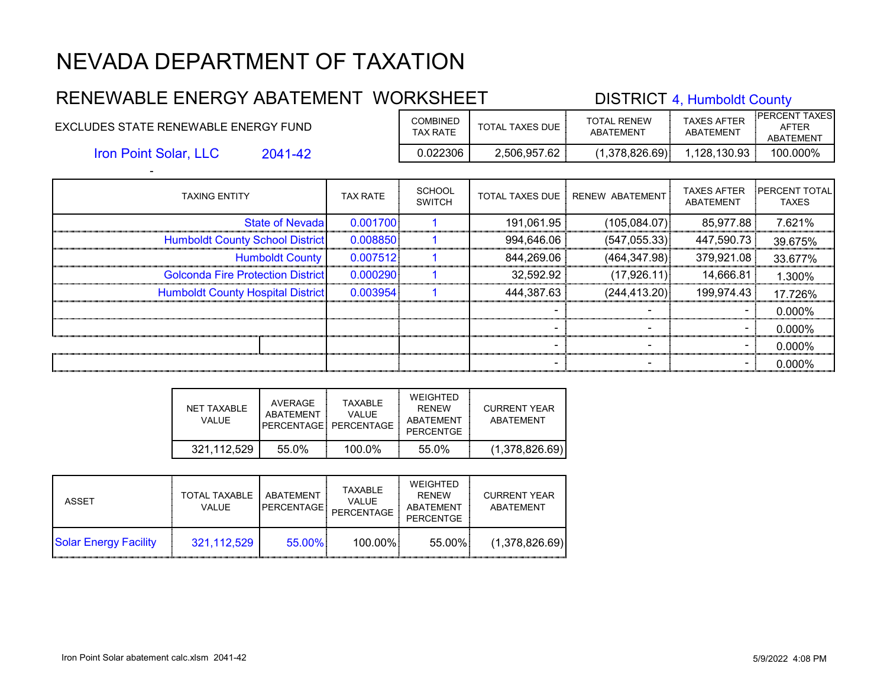#### RENEWABLE ENERGY ABATEMENT WORKSHEET DISTRICT 4, Humboldt County EXCLUDES STATE RENEWABLE ENERGY FUND COMBINED TOTAL TAXES DUE TOTAL RENEW ABATEMENT TAXES AFTER ABATEMENT PERCENT TAXES AFTER ABATEMENT 2041-42 0.022306 2,506,957.62 (1,378,826.69) 1,128,130.93 100.000% - Iron Point Solar, LLC

| <b>TAXING ENTITY</b>                     | <b>TAX RATE</b> | <b>SCHOOL</b><br><b>SWITCH</b> | <b>TOTAL TAXES DUE</b> | RENEW ABATEMENT | <b>TAXES AFTER</b><br>ABATEMENT | <b>IPERCENT TOTAL</b><br><b>TAXES</b> |
|------------------------------------------|-----------------|--------------------------------|------------------------|-----------------|---------------------------------|---------------------------------------|
| <b>State of Nevada</b>                   | 0.001700        |                                | 191,061.95             | (105,084.07)    | 85,977.88                       | 7.621%                                |
| <b>Humboldt County School District</b>   | 0.008850        |                                | 994,646.06             | (547, 055.33)   | 447,590.73                      | 39.675%                               |
| <b>Humboldt County</b>                   | 0.007512        |                                | 844,269.06             | (464, 347.98)   | 379,921.08                      | 33.677%                               |
| <b>Golconda Fire Protection District</b> | 0.000290        |                                | 32.592.92              | (17,926.11)     | 14,666.81                       | 1.300%                                |
| <b>Humboldt County Hospital District</b> | 0.003954        |                                | 444,387.63             | (244, 413.20)   | 199,974.43                      | 17.726%                               |
|                                          |                 |                                |                        |                 |                                 | 0.000%                                |
|                                          |                 |                                |                        | -               | $\sim$                          | $0.000\%$                             |
|                                          |                 |                                |                        |                 | -                               | 0.000%                                |
|                                          |                 |                                |                        |                 |                                 | 0.000%                                |

| NFT TAXABLE<br>VALUE | AVERAGE<br>ABATFMFNT | <b>TAXABLE</b><br>VALUE.<br>PERCENTAGE: PERCENTAGE | WEIGHTED<br><b>RFNFW</b><br>ABATEMENT<br>PERCENTGE | <b>CURRENT YEAR</b><br><b>ABATEMENT</b> |
|----------------------|----------------------|----------------------------------------------------|----------------------------------------------------|-----------------------------------------|
| 321.112.529          | 55.0%                | $100.0\%$                                          | 55.0%                                              | (1,378,826.69)                          |

| ASSET                        | <b>TOTAL TAXABLE</b><br><b>VALUE</b> | ABATFMENT<br><b>PERCENTAGE</b> | <b>TAXABLE</b><br><b>VALUE</b><br>PERCENTAGE | WEIGHTED<br><b>RFNFW</b><br>ABATEMENT<br><b>PERCENTGE</b> | <b>CURRENT YEAR</b><br>ABATEMENT |
|------------------------------|--------------------------------------|--------------------------------|----------------------------------------------|-----------------------------------------------------------|----------------------------------|
| <b>Solar Energy Facility</b> | 321,112,529                          | 55.00%                         | 100.00%                                      | 55.00%                                                    | (1,378,826.69)                   |